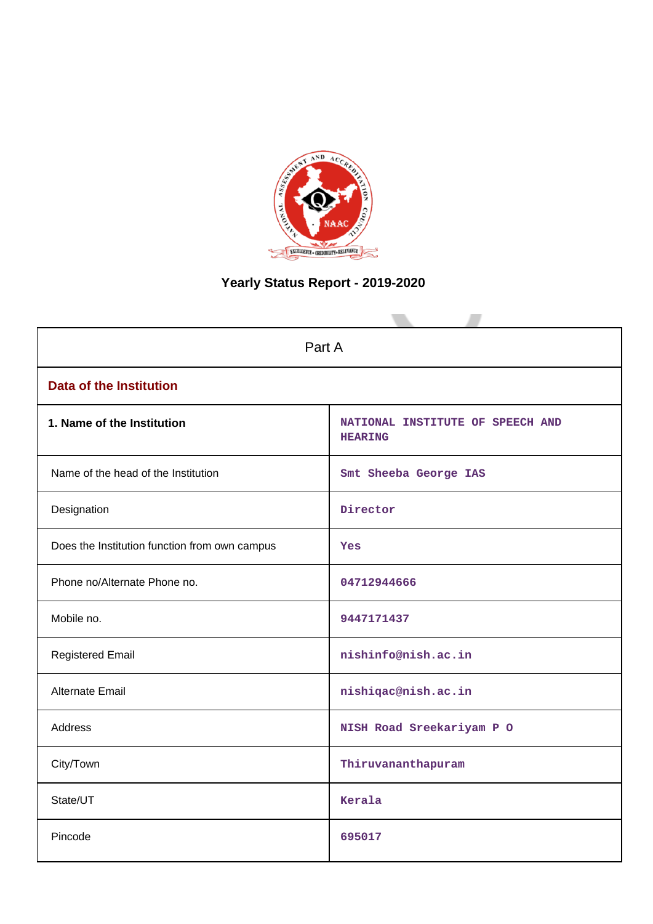

# **Yearly Status Report - 2019-2020**

| Part A                                        |                                                    |  |  |  |  |
|-----------------------------------------------|----------------------------------------------------|--|--|--|--|
| <b>Data of the Institution</b>                |                                                    |  |  |  |  |
| 1. Name of the Institution                    | NATIONAL INSTITUTE OF SPEECH AND<br><b>HEARING</b> |  |  |  |  |
| Name of the head of the Institution           | Smt Sheeba George IAS                              |  |  |  |  |
| Designation                                   | Director                                           |  |  |  |  |
| Does the Institution function from own campus | Yes                                                |  |  |  |  |
| Phone no/Alternate Phone no.                  | 04712944666                                        |  |  |  |  |
| Mobile no.                                    | 9447171437                                         |  |  |  |  |
| <b>Registered Email</b>                       | nishinfo@nish.ac.in                                |  |  |  |  |
| Alternate Email                               | nishiqac@nish.ac.in                                |  |  |  |  |
| <b>Address</b>                                | NISH Road Sreekariyam P O                          |  |  |  |  |
| City/Town                                     | Thiruvananthapuram                                 |  |  |  |  |
| State/UT                                      | Kerala                                             |  |  |  |  |
| Pincode                                       | 695017                                             |  |  |  |  |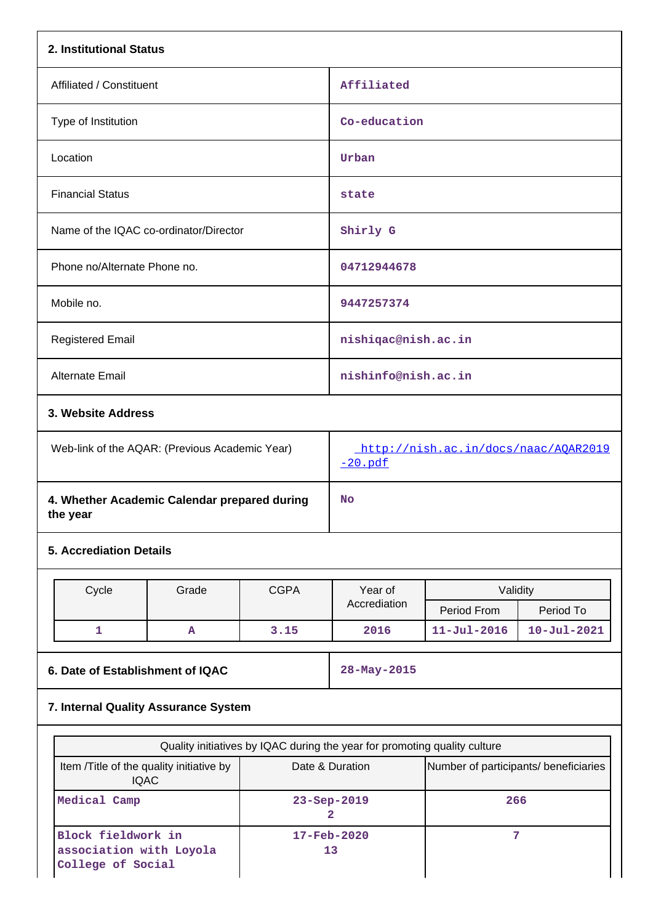| 2. Institutional Status                                  |                                          |             |                                                                                                                                       |                   |                   |  |  |
|----------------------------------------------------------|------------------------------------------|-------------|---------------------------------------------------------------------------------------------------------------------------------------|-------------------|-------------------|--|--|
| Affiliated / Constituent                                 |                                          |             | Affiliated                                                                                                                            |                   |                   |  |  |
| Type of Institution                                      |                                          |             | Co-education                                                                                                                          |                   |                   |  |  |
| Location                                                 |                                          |             | Urban                                                                                                                                 |                   |                   |  |  |
| <b>Financial Status</b>                                  |                                          |             | state                                                                                                                                 |                   |                   |  |  |
| Name of the IQAC co-ordinator/Director                   |                                          |             | Shirly G                                                                                                                              |                   |                   |  |  |
| Phone no/Alternate Phone no.                             |                                          |             | 04712944678                                                                                                                           |                   |                   |  |  |
| Mobile no.                                               |                                          |             | 9447257374                                                                                                                            |                   |                   |  |  |
| <b>Registered Email</b>                                  |                                          |             | nishiqac@nish.ac.in                                                                                                                   |                   |                   |  |  |
| Alternate Email                                          |                                          |             | nishinfo@nish.ac.in                                                                                                                   |                   |                   |  |  |
|                                                          | 3. Website Address                       |             |                                                                                                                                       |                   |                   |  |  |
| Web-link of the AQAR: (Previous Academic Year)           |                                          |             | http://nish.ac.in/docs/naac/AQAR2019<br>$-20.pdf$                                                                                     |                   |                   |  |  |
| 4. Whether Academic Calendar prepared during<br>the year |                                          |             | <b>No</b>                                                                                                                             |                   |                   |  |  |
| <b>5. Accrediation Details</b>                           |                                          |             |                                                                                                                                       |                   |                   |  |  |
| Cycle                                                    | Grade                                    | <b>CGPA</b> | Year of                                                                                                                               | Validity          |                   |  |  |
|                                                          |                                          |             | Accrediation                                                                                                                          | Period From       | Period To         |  |  |
| 1                                                        | A                                        | 3.15        | 2016                                                                                                                                  | $11 - Jul - 2016$ | $10 - Ju1 - 2021$ |  |  |
| 6. Date of Establishment of IQAC                         |                                          |             | 28-May-2015                                                                                                                           |                   |                   |  |  |
|                                                          | 7. Internal Quality Assurance System     |             |                                                                                                                                       |                   |                   |  |  |
|                                                          |                                          |             |                                                                                                                                       |                   |                   |  |  |
| <b>IQAC</b>                                              | Item /Title of the quality initiative by |             | Quality initiatives by IQAC during the year for promoting quality culture<br>Number of participants/ beneficiaries<br>Date & Duration |                   |                   |  |  |

**2**

**17-Feb-2020 13**

**266**

**7**

**Medical Camp 23-Sep-2019**

**Block fieldwork in**

**College of Social**

**association with Loyola**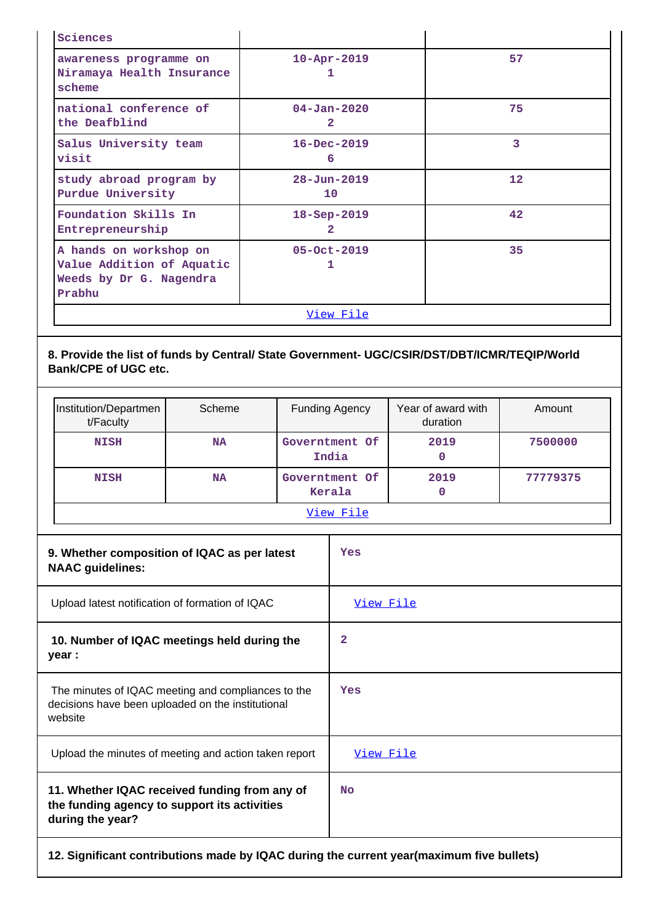| Sciences                                                                                 |                                     |                   |  |  |
|------------------------------------------------------------------------------------------|-------------------------------------|-------------------|--|--|
| awareness programme on<br>Niramaya Health Insurance<br>scheme                            | $10 - Apr - 2019$<br>ı              | 57                |  |  |
| national conference of<br>the Deafblind                                                  | $04 - Jan - 2020$<br>$\overline{2}$ | 75                |  |  |
| Salus University team<br>visit                                                           | $16 - Dec - 2019$<br>6              | 3                 |  |  |
| study abroad program by<br>Purdue University                                             | $28 - Jun - 2019$<br>10             | $12 \overline{ }$ |  |  |
| Foundation Skills In<br>Entrepreneurship                                                 | $18 - Sep - 2019$<br>$\mathbf{2}$   | 42                |  |  |
| A hands on workshop on<br>Value Addition of Aquatic<br>Weeds by Dr G. Nagendra<br>Prabhu | 05-Oct-2019<br>1                    | 35                |  |  |
| <u>View File</u>                                                                         |                                     |                   |  |  |

# **8. Provide the list of funds by Central/ State Government- UGC/CSIR/DST/DBT/ICMR/TEQIP/World Bank/CPE of UGC etc.**

| Institution/Departmen<br>t/Faculty | Scheme    | <b>Funding Agency</b>    | Year of award with<br>duration | Amount   |  |
|------------------------------------|-----------|--------------------------|--------------------------------|----------|--|
| <b>NISH</b>                        | <b>NA</b> | Governtment Of<br>India  | 2019<br>O                      | 7500000  |  |
| <b>NISH</b>                        | <b>NA</b> | Governtment Of<br>Kerala | 2019<br>O                      | 77779375 |  |
| View File                          |           |                          |                                |          |  |

| 9. Whether composition of IQAC as per latest<br><b>NAAC</b> guidelines:                                            | Yes       |
|--------------------------------------------------------------------------------------------------------------------|-----------|
| Upload latest notification of formation of IQAC                                                                    | View File |
| 10. Number of IQAC meetings held during the<br>year :                                                              | 2         |
| The minutes of IQAC meeting and compliances to the<br>decisions have been uploaded on the institutional<br>website | Yes       |
| Upload the minutes of meeting and action taken report                                                              | View File |
| 11. Whether IQAC received funding from any of<br>the funding agency to support its activities<br>during the year?  | <b>No</b> |
| 12. Significant contributions made by IQAC during the current year (maximum five bullets)                          |           |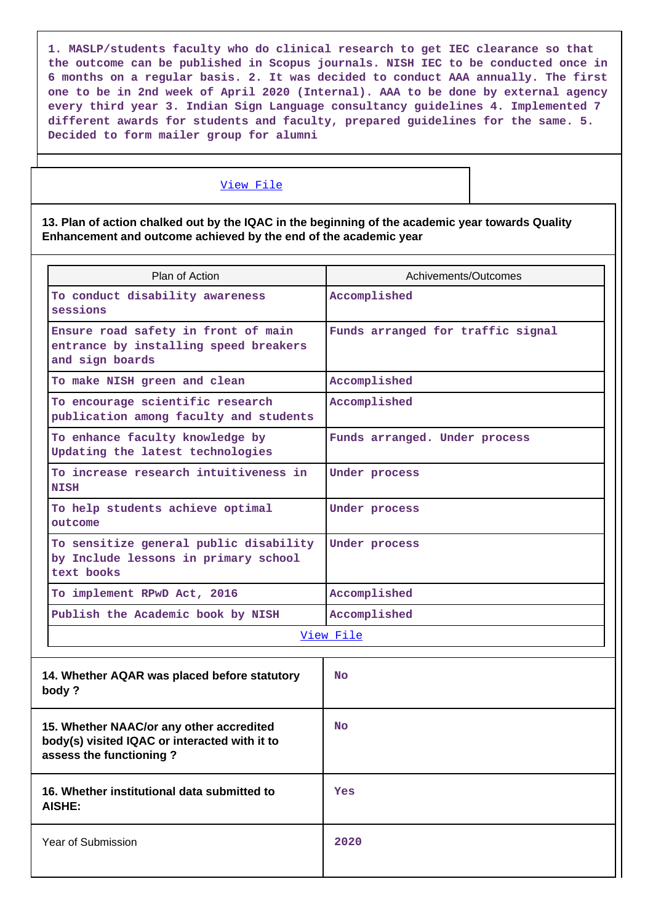**1. MASLP/students faculty who do clinical research to get IEC clearance so that the outcome can be published in Scopus journals. NISH IEC to be conducted once in 6 months on a regular basis. 2. It was decided to conduct AAA annually. The first one to be in 2nd week of April 2020 (Internal). AAA to be done by external agency every third year 3. Indian Sign Language consultancy guidelines 4. Implemented 7 different awards for students and faculty, prepared guidelines for the same. 5. Decided to form mailer group for alumni**

#### [View File](https://assessmentonline.naac.gov.in/public/Postacc/Contribution/8364_Contribution.xlsx)

**13. Plan of action chalked out by the IQAC in the beginning of the academic year towards Quality Enhancement and outcome achieved by the end of the academic year**

| Plan of Action                                                                                                       | Achivements/Outcomes              |
|----------------------------------------------------------------------------------------------------------------------|-----------------------------------|
| To conduct disability awareness<br>sessions                                                                          | Accomplished                      |
| Ensure road safety in front of main<br>entrance by installing speed breakers<br>and sign boards                      | Funds arranged for traffic signal |
| To make NISH green and clean                                                                                         | Accomplished                      |
| To encourage scientific research<br>publication among faculty and students                                           | Accomplished                      |
| To enhance faculty knowledge by<br>Updating the latest technologies                                                  | Funds arranged. Under process     |
| To increase research intuitiveness in<br><b>NISH</b>                                                                 | Under process                     |
| To help students achieve optimal<br>outcome                                                                          | Under process                     |
| To sensitize general public disability<br>by Include lessons in primary school<br>text books                         | Under process                     |
| To implement RPwD Act, 2016                                                                                          | Accomplished                      |
| Publish the Academic book by NISH                                                                                    | Accomplished                      |
|                                                                                                                      | View File                         |
| 14. Whether AQAR was placed before statutory<br>body?                                                                | No                                |
| 15. Whether NAAC/or any other accredited<br>body(s) visited IQAC or interacted with it to<br>assess the functioning? | <b>No</b>                         |
| 16. Whether institutional data submitted to<br><b>AISHE:</b>                                                         | Yes                               |
| Year of Submission                                                                                                   | 2020                              |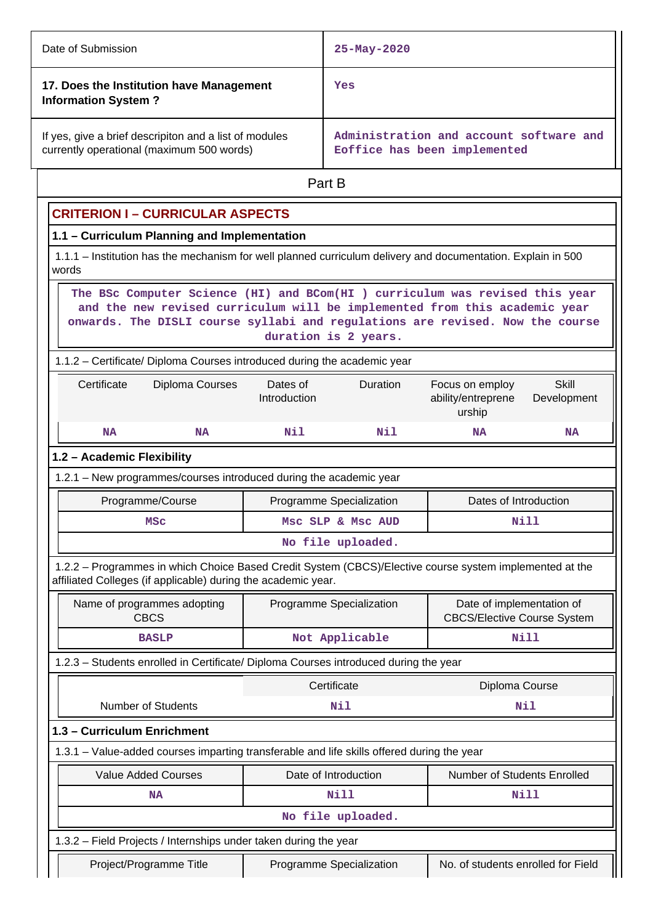| Date of Submission                                                                                  | $25 - May - 2020$                                                       |  |  |
|-----------------------------------------------------------------------------------------------------|-------------------------------------------------------------------------|--|--|
| 17. Does the Institution have Management<br><b>Information System?</b>                              | Yes                                                                     |  |  |
| If yes, give a brief descripiton and a list of modules<br>currently operational (maximum 500 words) | Administration and account software and<br>Eoffice has been implemented |  |  |
|                                                                                                     | Part B                                                                  |  |  |

# **CRITERION I – CURRICULAR ASPECTS**

# **1.1 – Curriculum Planning and Implementation**

 1.1.1 – Institution has the mechanism for well planned curriculum delivery and documentation. Explain in 500 words

 **The BSc Computer Science (HI) and BCom(HI ) curriculum was revised this year and the new revised curriculum will be implemented from this academic year onwards. The DISLI course syllabi and regulations are revised. Now the course duration is 2 years.**

## 1.1.2 – Certificate/ Diploma Courses introduced during the academic year

| Certificate | Diploma Courses | Dates of<br>Introduction | <b>Duration</b> | Focus on employ<br>ability/entreprene<br>urship | Skill<br>Development |
|-------------|-----------------|--------------------------|-----------------|-------------------------------------------------|----------------------|
| <b>NA</b>   | <b>NA</b>       | Nil                      | Nil             | NA                                              | <b>NA</b>            |

# **1.2 – Academic Flexibility**

 1.2.1 – New programmes/courses introduced during the academic year Programme/Course **Programme Specialization** Programme Specialization **Programme** Dates of Introduction MSc Msc SLP & Msc AUD Nill

**No file uploaded.**

 1.2.2 – Programmes in which Choice Based Credit System (CBCS)/Elective course system implemented at the affiliated Colleges (if applicable) during the academic year.

| Name of programmes adopting<br><b>CBCS</b>                                                 | Programme Specialization                                         | Date of implementation of<br><b>CBCS/Elective Course System</b> |  |  |  |  |  |
|--------------------------------------------------------------------------------------------|------------------------------------------------------------------|-----------------------------------------------------------------|--|--|--|--|--|
| <b>BASLP</b>                                                                               | Not Applicable                                                   | Nill                                                            |  |  |  |  |  |
| 1.2.3 – Students enrolled in Certificate/ Diploma Courses introduced during the year       |                                                                  |                                                                 |  |  |  |  |  |
|                                                                                            | Certificate                                                      | Diploma Course                                                  |  |  |  |  |  |
| Number of Students                                                                         | Nil                                                              | Nil                                                             |  |  |  |  |  |
| 1.3 - Curriculum Enrichment                                                                |                                                                  |                                                                 |  |  |  |  |  |
| 1.3.1 – Value-added courses imparting transferable and life skills offered during the year |                                                                  |                                                                 |  |  |  |  |  |
| <b>Value Added Courses</b>                                                                 | Date of Introduction                                             | <b>Number of Students Enrolled</b>                              |  |  |  |  |  |
| NA                                                                                         | Nill                                                             | Nill                                                            |  |  |  |  |  |
|                                                                                            | No file uploaded.                                                |                                                                 |  |  |  |  |  |
|                                                                                            | 1.3.2 – Field Projects / Internships under taken during the year |                                                                 |  |  |  |  |  |
| Project/Programme Title                                                                    | Programme Specialization                                         | No. of students enrolled for Field                              |  |  |  |  |  |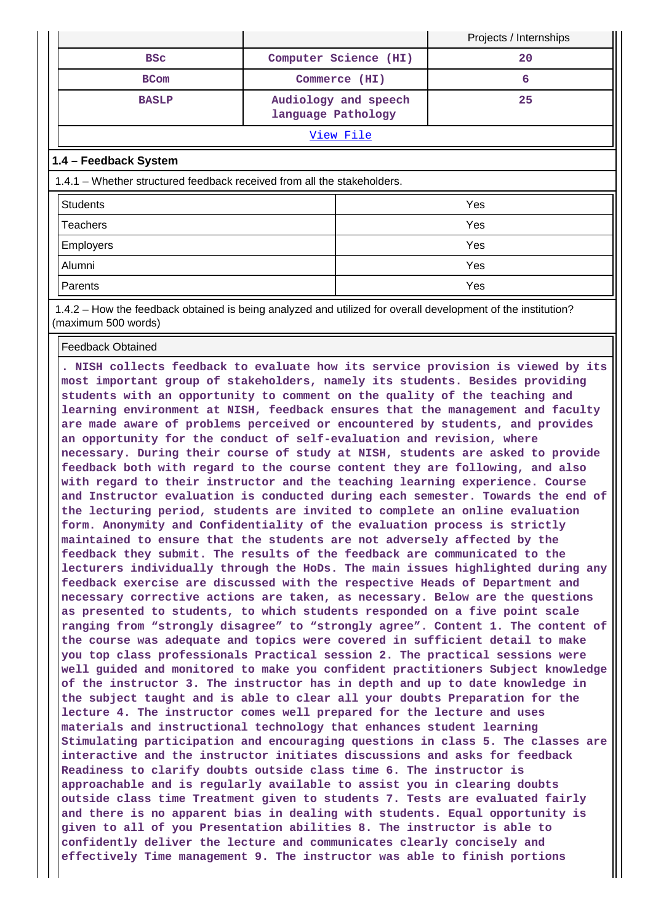|                         |                                            | Projects / Internships |  |  |  |  |
|-------------------------|--------------------------------------------|------------------------|--|--|--|--|
| <b>BSC</b>              | Computer Science (HI)                      | 20                     |  |  |  |  |
| <b>BCom</b>             | Commerce (HI)                              |                        |  |  |  |  |
| <b>BASLP</b>            | Audiology and speech<br>language Pathology | 25                     |  |  |  |  |
| View File               |                                            |                        |  |  |  |  |
| l 1 a - Enndhack Svetom |                                            |                        |  |  |  |  |

#### **1.4 – Feedback System**

1.4.1 – Whether structured feedback received from all the stakeholders.

| <b>Students</b> | Yes |
|-----------------|-----|
| Teachers        | Yes |
| Employers       | Yes |
| Alumni          | Yes |
| Parents         | Yes |

 1.4.2 – How the feedback obtained is being analyzed and utilized for overall development of the institution? (maximum 500 words)

Feedback Obtained

**. NISH collects feedback to evaluate how its service provision is viewed by its most important group of stakeholders, namely its students. Besides providing students with an opportunity to comment on the quality of the teaching and learning environment at NISH, feedback ensures that the management and faculty are made aware of problems perceived or encountered by students, and provides an opportunity for the conduct of self-evaluation and revision, where necessary. During their course of study at NISH, students are asked to provide feedback both with regard to the course content they are following, and also with regard to their instructor and the teaching learning experience. Course and Instructor evaluation is conducted during each semester. Towards the end of the lecturing period, students are invited to complete an online evaluation form. Anonymity and Confidentiality of the evaluation process is strictly maintained to ensure that the students are not adversely affected by the feedback they submit. The results of the feedback are communicated to the lecturers individually through the HoDs. The main issues highlighted during any feedback exercise are discussed with the respective Heads of Department and necessary corrective actions are taken, as necessary. Below are the questions as presented to students, to which students responded on a five point scale ranging from "strongly disagree" to "strongly agree". Content 1. The content of the course was adequate and topics were covered in sufficient detail to make you top class professionals Practical session 2. The practical sessions were well guided and monitored to make you confident practitioners Subject knowledge of the instructor 3. The instructor has in depth and up to date knowledge in the subject taught and is able to clear all your doubts Preparation for the lecture 4. The instructor comes well prepared for the lecture and uses materials and instructional technology that enhances student learning Stimulating participation and encouraging questions in class 5. The classes are interactive and the instructor initiates discussions and asks for feedback Readiness to clarify doubts outside class time 6. The instructor is approachable and is regularly available to assist you in clearing doubts outside class time Treatment given to students 7. Tests are evaluated fairly and there is no apparent bias in dealing with students. Equal opportunity is given to all of you Presentation abilities 8. The instructor is able to confidently deliver the lecture and communicates clearly concisely and effectively Time management 9. The instructor was able to finish portions**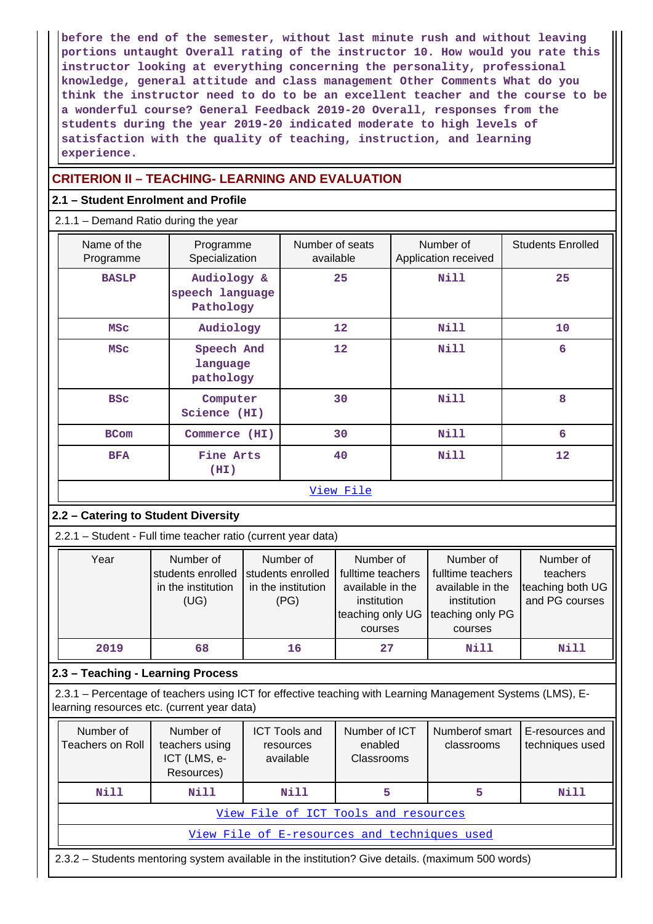**before the end of the semester, without last minute rush and without leaving portions untaught Overall rating of the instructor 10. How would you rate this instructor looking at everything concerning the personality, professional knowledge, general attitude and class management Other Comments What do you think the instructor need to do to be an excellent teacher and the course to be a wonderful course? General Feedback 2019-20 Overall, responses from the students during the year 2019-20 indicated moderate to high levels of satisfaction with the quality of teaching, instruction, and learning experience.**

# **CRITERION II – TEACHING- LEARNING AND EVALUATION**

## **2.1 – Student Enrolment and Profile**

#### 2.1.1 – Demand Ratio during the year

|  | Name of the<br>Programme                                                                                                    |                   | Programme<br>Specialization    |                                                                                                                                                                  | Number of seats<br>available |                                                                                                  | Number of<br>Application received |                                                             | <b>Students Enrolled</b> |  |
|--|-----------------------------------------------------------------------------------------------------------------------------|-------------------|--------------------------------|------------------------------------------------------------------------------------------------------------------------------------------------------------------|------------------------------|--------------------------------------------------------------------------------------------------|-----------------------------------|-------------------------------------------------------------|--------------------------|--|
|  | <b>BASLP</b>                                                                                                                |                   | Audiology &<br>speech language |                                                                                                                                                                  | 25                           |                                                                                                  | <b>Nill</b>                       |                                                             | 25                       |  |
|  |                                                                                                                             |                   | Pathology                      |                                                                                                                                                                  |                              |                                                                                                  |                                   |                                                             |                          |  |
|  | <b>MSC</b>                                                                                                                  | Audiology         |                                |                                                                                                                                                                  | 12                           |                                                                                                  | <b>Nill</b>                       |                                                             | 10                       |  |
|  | <b>MSC</b><br>Speech And<br>language<br>pathology<br><b>BSC</b><br>Computer<br>Science (HI)<br><b>BCom</b><br>Commerce (HI) |                   | 12                             |                                                                                                                                                                  | <b>Nill</b>                  |                                                                                                  |                                   | 6                                                           |                          |  |
|  |                                                                                                                             |                   |                                | 30                                                                                                                                                               |                              | <b>Nill</b>                                                                                      |                                   | 8                                                           |                          |  |
|  |                                                                                                                             |                   | 30                             |                                                                                                                                                                  |                              | <b>Nill</b>                                                                                      |                                   | 6                                                           |                          |  |
|  | <b>BFA</b>                                                                                                                  | Fine Arts<br>(HI) |                                |                                                                                                                                                                  | 40                           |                                                                                                  | <b>Nill</b>                       |                                                             | 12                       |  |
|  |                                                                                                                             |                   |                                |                                                                                                                                                                  | View File                    |                                                                                                  |                                   |                                                             |                          |  |
|  | 2.2 - Catering to Student Diversity                                                                                         |                   |                                |                                                                                                                                                                  |                              |                                                                                                  |                                   |                                                             |                          |  |
|  | 2.2.1 - Student - Full time teacher ratio (current year data)                                                               |                   |                                |                                                                                                                                                                  |                              |                                                                                                  |                                   |                                                             |                          |  |
|  | Year<br>Number of<br>students enrolled<br>in the institution<br>(UG)                                                        |                   |                                | Number of<br>Number of<br>students enrolled<br>fulltime teachers<br>in the institution<br>available in the<br>(PG)<br>institution<br>teaching only UG<br>courses |                              | Number of<br>fulltime teachers<br>available in the<br>institution<br>teaching only PG<br>courses |                                   | Number of<br>teachers<br>teaching both UG<br>and PG courses |                          |  |
|  | 2019                                                                                                                        | 68                |                                | 16                                                                                                                                                               | 27                           |                                                                                                  | <b>Nill</b>                       |                                                             | <b>Nill</b>              |  |
|  | 2.3 - Teaching - Learning Process                                                                                           |                   |                                |                                                                                                                                                                  |                              |                                                                                                  |                                   |                                                             |                          |  |

 2.3.1 – Percentage of teachers using ICT for effective teaching with Learning Management Systems (LMS), Elearning resources etc. (current year data)

| Number of<br>Teachers on Roll                                                                     | Number of<br>teachers using<br>ICT (LMS, e-<br>Resources) | <b>ICT Tools and</b><br>resources<br>available | Number of ICT<br>enabled<br>Classrooms | Numberof smart<br>classrooms | E-resources and<br>techniques used |  |  |  |  |  |  |
|---------------------------------------------------------------------------------------------------|-----------------------------------------------------------|------------------------------------------------|----------------------------------------|------------------------------|------------------------------------|--|--|--|--|--|--|
| Nill                                                                                              | Nill                                                      | Nill                                           | 5                                      | 5                            | <b>Nill</b>                        |  |  |  |  |  |  |
|                                                                                                   |                                                           |                                                | View File of ICT Tools and resources   |                              |                                    |  |  |  |  |  |  |
|                                                                                                   | View File of E-resources and techniques used              |                                                |                                        |                              |                                    |  |  |  |  |  |  |
| 2.3.2 – Students mentoring system available in the institution? Give details. (maximum 500 words) |                                                           |                                                |                                        |                              |                                    |  |  |  |  |  |  |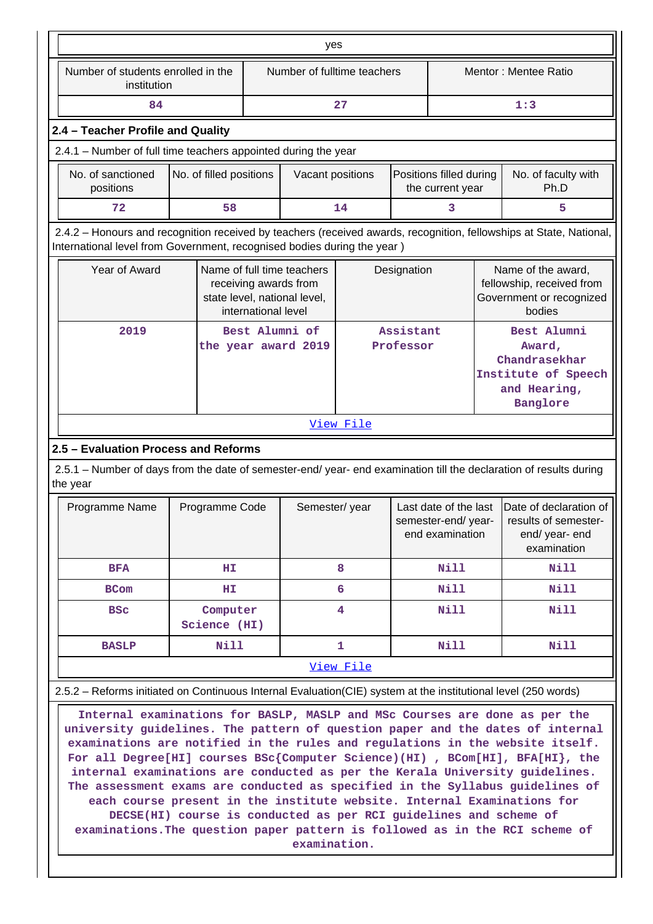|                                                                                                                                                                                                |                                                                                                                                                                                                                                                                                                                                                                                                                                                                                                                                                                                                                                                                                                                                                                                                                                                                        |                                       | yes                                                                                 |                        |                                             |                                                                                           |     |                                                                                       |  |  |
|------------------------------------------------------------------------------------------------------------------------------------------------------------------------------------------------|------------------------------------------------------------------------------------------------------------------------------------------------------------------------------------------------------------------------------------------------------------------------------------------------------------------------------------------------------------------------------------------------------------------------------------------------------------------------------------------------------------------------------------------------------------------------------------------------------------------------------------------------------------------------------------------------------------------------------------------------------------------------------------------------------------------------------------------------------------------------|---------------------------------------|-------------------------------------------------------------------------------------|------------------------|---------------------------------------------|-------------------------------------------------------------------------------------------|-----|---------------------------------------------------------------------------------------|--|--|
| Number of students enrolled in the<br>institution                                                                                                                                              |                                                                                                                                                                                                                                                                                                                                                                                                                                                                                                                                                                                                                                                                                                                                                                                                                                                                        |                                       | Number of fulltime teachers                                                         |                        |                                             |                                                                                           |     | Mentor: Mentee Ratio                                                                  |  |  |
| 84                                                                                                                                                                                             |                                                                                                                                                                                                                                                                                                                                                                                                                                                                                                                                                                                                                                                                                                                                                                                                                                                                        |                                       |                                                                                     | 27                     |                                             |                                                                                           | 1:3 |                                                                                       |  |  |
| 2.4 - Teacher Profile and Quality                                                                                                                                                              |                                                                                                                                                                                                                                                                                                                                                                                                                                                                                                                                                                                                                                                                                                                                                                                                                                                                        |                                       |                                                                                     |                        |                                             |                                                                                           |     |                                                                                       |  |  |
| 2.4.1 - Number of full time teachers appointed during the year                                                                                                                                 |                                                                                                                                                                                                                                                                                                                                                                                                                                                                                                                                                                                                                                                                                                                                                                                                                                                                        |                                       |                                                                                     |                        |                                             |                                                                                           |     |                                                                                       |  |  |
| No. of sanctioned<br>positions                                                                                                                                                                 | No. of filled positions                                                                                                                                                                                                                                                                                                                                                                                                                                                                                                                                                                                                                                                                                                                                                                                                                                                |                                       | Vacant positions                                                                    |                        | Positions filled during<br>the current year |                                                                                           |     | No. of faculty with<br>Ph.D                                                           |  |  |
| 72                                                                                                                                                                                             | 58                                                                                                                                                                                                                                                                                                                                                                                                                                                                                                                                                                                                                                                                                                                                                                                                                                                                     |                                       |                                                                                     | 14                     |                                             | 3                                                                                         |     | 5                                                                                     |  |  |
| 2.4.2 - Honours and recognition received by teachers (received awards, recognition, fellowships at State, National,<br>International level from Government, recognised bodies during the year) |                                                                                                                                                                                                                                                                                                                                                                                                                                                                                                                                                                                                                                                                                                                                                                                                                                                                        |                                       |                                                                                     |                        |                                             |                                                                                           |     |                                                                                       |  |  |
| Year of Award                                                                                                                                                                                  |                                                                                                                                                                                                                                                                                                                                                                                                                                                                                                                                                                                                                                                                                                                                                                                                                                                                        | international level                   | Name of full time teachers<br>receiving awards from<br>state level, national level, |                        | Designation                                 |                                                                                           |     | Name of the award,<br>fellowship, received from<br>Government or recognized<br>bodies |  |  |
| 2019                                                                                                                                                                                           |                                                                                                                                                                                                                                                                                                                                                                                                                                                                                                                                                                                                                                                                                                                                                                                                                                                                        | Best Alumni of<br>the year award 2019 |                                                                                     | Assistant<br>Professor |                                             | Best Alumni<br>Award,<br>Chandrasekhar<br>Institute of Speech<br>and Hearing,<br>Banglore |     |                                                                                       |  |  |
|                                                                                                                                                                                                |                                                                                                                                                                                                                                                                                                                                                                                                                                                                                                                                                                                                                                                                                                                                                                                                                                                                        |                                       |                                                                                     | <u>View File</u>       |                                             |                                                                                           |     |                                                                                       |  |  |
| 2.5 - Evaluation Process and Reforms                                                                                                                                                           |                                                                                                                                                                                                                                                                                                                                                                                                                                                                                                                                                                                                                                                                                                                                                                                                                                                                        |                                       |                                                                                     |                        |                                             |                                                                                           |     |                                                                                       |  |  |
| 2.5.1 - Number of days from the date of semester-end/ year- end examination till the declaration of results during<br>the year                                                                 |                                                                                                                                                                                                                                                                                                                                                                                                                                                                                                                                                                                                                                                                                                                                                                                                                                                                        |                                       |                                                                                     |                        |                                             |                                                                                           |     |                                                                                       |  |  |
| Programme Name                                                                                                                                                                                 | Programme Code                                                                                                                                                                                                                                                                                                                                                                                                                                                                                                                                                                                                                                                                                                                                                                                                                                                         |                                       | Semester/year                                                                       |                        |                                             | Last date of the last<br>semester-end/year-<br>end examination                            |     | Date of declaration of<br>results of semester-<br>end/year-end<br>examination         |  |  |
| <b>BFA</b>                                                                                                                                                                                     | HI.                                                                                                                                                                                                                                                                                                                                                                                                                                                                                                                                                                                                                                                                                                                                                                                                                                                                    |                                       |                                                                                     | 8                      | Nill                                        |                                                                                           |     | <b>Nill</b>                                                                           |  |  |
| <b>BCom</b>                                                                                                                                                                                    | HI.                                                                                                                                                                                                                                                                                                                                                                                                                                                                                                                                                                                                                                                                                                                                                                                                                                                                    |                                       |                                                                                     | 6                      |                                             | Nill                                                                                      |     | Nill                                                                                  |  |  |
| <b>BSC</b>                                                                                                                                                                                     | Computer<br>Science (HI)                                                                                                                                                                                                                                                                                                                                                                                                                                                                                                                                                                                                                                                                                                                                                                                                                                               |                                       |                                                                                     | 4                      |                                             | <b>Nill</b>                                                                               |     | <b>Nill</b>                                                                           |  |  |
| <b>BASLP</b>                                                                                                                                                                                   | Nill                                                                                                                                                                                                                                                                                                                                                                                                                                                                                                                                                                                                                                                                                                                                                                                                                                                                   |                                       |                                                                                     | $\mathbf{1}$           |                                             | Nill                                                                                      |     | Nill                                                                                  |  |  |
|                                                                                                                                                                                                |                                                                                                                                                                                                                                                                                                                                                                                                                                                                                                                                                                                                                                                                                                                                                                                                                                                                        |                                       |                                                                                     | View File              |                                             |                                                                                           |     |                                                                                       |  |  |
|                                                                                                                                                                                                |                                                                                                                                                                                                                                                                                                                                                                                                                                                                                                                                                                                                                                                                                                                                                                                                                                                                        |                                       |                                                                                     |                        |                                             |                                                                                           |     |                                                                                       |  |  |
|                                                                                                                                                                                                | 2.5.2 – Reforms initiated on Continuous Internal Evaluation (CIE) system at the institutional level (250 words)<br>Internal examinations for BASLP, MASLP and MSc Courses are done as per the<br>university guidelines. The pattern of question paper and the dates of internal<br>examinations are notified in the rules and regulations in the website itself.<br>For all Degree[HI] courses $BSc$ (Computer Science) (HI) , BCom[HI], BFA[HI}, the<br>internal examinations are conducted as per the Kerala University guidelines.<br>The assessment exams are conducted as specified in the Syllabus guidelines of<br>each course present in the institute website. Internal Examinations for<br>DECSE(HI) course is conducted as per RCI guidelines and scheme of<br>examinations. The question paper pattern is followed as in the RCI scheme of<br>examination. |                                       |                                                                                     |                        |                                             |                                                                                           |     |                                                                                       |  |  |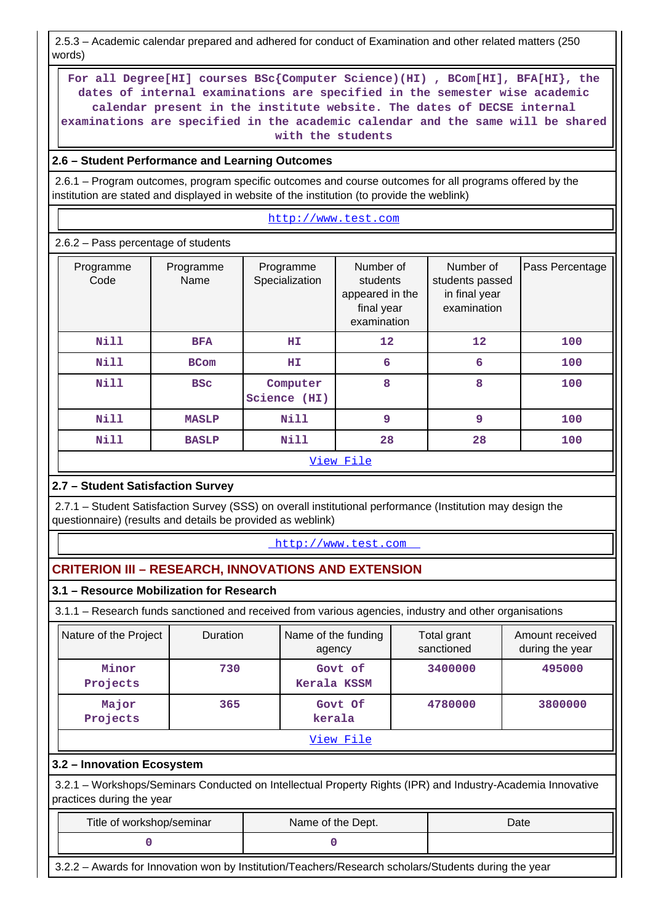2.5.3 – Academic calendar prepared and adhered for conduct of Examination and other related matters (250 words)

 **For all Degree[HI] courses BSc{Computer Science)(HI) , BCom[HI], BFA[HI}, the dates of internal examinations are specified in the semester wise academic calendar present in the institute website. The dates of DECSE internal examinations are specified in the academic calendar and the same will be shared with the students**

# **2.6 – Student Performance and Learning Outcomes**

 2.6.1 – Program outcomes, program specific outcomes and course outcomes for all programs offered by the institution are stated and displayed in website of the institution (to provide the weblink)

<http://www.test.com>

2.6.2 – Pass percentage of students

| Programme<br>Code | Programme<br>Name | Programme<br>Specialization | Number of<br>students<br>appeared in the<br>final year<br>examination | Number of<br>students passed<br>in final year<br>examination | Pass Percentage |
|-------------------|-------------------|-----------------------------|-----------------------------------------------------------------------|--------------------------------------------------------------|-----------------|
| <b>Nill</b>       | <b>BFA</b>        | ΗI                          | 12                                                                    | 12                                                           | 100             |
| Nill              | <b>BCom</b>       | ΗI                          | 6                                                                     | 6                                                            | 100             |
| <b>Nill</b>       | <b>BSC</b>        | Computer<br>Science (HI)    | 8                                                                     | 8                                                            | 100             |
| <b>Nill</b>       | <b>MASLP</b>      | <b>Nill</b>                 | 9                                                                     | $\overline{9}$                                               | 100             |
| <b>Nill</b>       | <b>BASLP</b>      | Nill                        | 28                                                                    | 28                                                           | 100             |
|                   |                   |                             | View File                                                             |                                                              |                 |

# **2.7 – Student Satisfaction Survey**

 2.7.1 – Student Satisfaction Survey (SSS) on overall institutional performance (Institution may design the questionnaire) (results and details be provided as weblink)

## <http://www.test.com>

# **CRITERION III – RESEARCH, INNOVATIONS AND EXTENSION**

# **3.1 – Resource Mobilization for Research**

3.1.1 – Research funds sanctioned and received from various agencies, industry and other organisations

| Nature of the Project | <b>Duration</b> | Name of the funding<br>agency | Total grant<br>sanctioned | Amount received<br>during the year |  |  |  |  |  |
|-----------------------|-----------------|-------------------------------|---------------------------|------------------------------------|--|--|--|--|--|
| Minor<br>Projects     | 730             | Govt of<br>Kerala KSSM        | 3400000                   | 495000                             |  |  |  |  |  |
| Major<br>Projects     | 365             | Govt Of<br>kerala             | 4780000                   | 3800000                            |  |  |  |  |  |
| View File             |                 |                               |                           |                                    |  |  |  |  |  |

# **3.2 – Innovation Ecosystem**

 3.2.1 – Workshops/Seminars Conducted on Intellectual Property Rights (IPR) and Industry-Academia Innovative practices during the year

| Title of workshop/seminar | Name of the Dept. | Date |
|---------------------------|-------------------|------|
|                           |                   |      |

3.2.2 – Awards for Innovation won by Institution/Teachers/Research scholars/Students during the year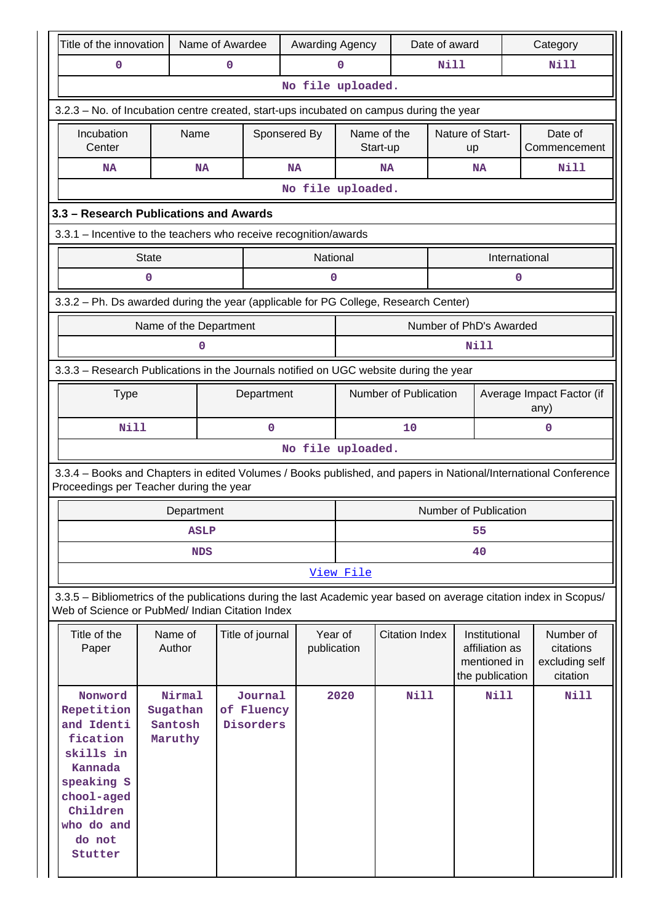| Title of the innovation                                                                                                                                               |              | Name of Awardee                          |   |                                    |              | Awarding Agency        |                         |                       | Date of award |                                                                    |               | Category                                                                                                        |  |  |
|-----------------------------------------------------------------------------------------------------------------------------------------------------------------------|--------------|------------------------------------------|---|------------------------------------|--------------|------------------------|-------------------------|-----------------------|---------------|--------------------------------------------------------------------|---------------|-----------------------------------------------------------------------------------------------------------------|--|--|
| 0                                                                                                                                                                     |              |                                          | 0 |                                    |              | 0                      | <b>Nill</b>             |                       |               |                                                                    |               | <b>Nill</b>                                                                                                     |  |  |
|                                                                                                                                                                       |              |                                          |   |                                    |              | No file uploaded.      |                         |                       |               |                                                                    |               |                                                                                                                 |  |  |
| 3.2.3 - No. of Incubation centre created, start-ups incubated on campus during the year                                                                               |              |                                          |   |                                    |              |                        |                         |                       |               |                                                                    |               |                                                                                                                 |  |  |
| Incubation<br>Center                                                                                                                                                  |              | Name                                     |   |                                    | Sponsered By |                        | Name of the<br>Start-up |                       |               | Nature of Start-<br>up                                             |               | Date of<br>Commencement                                                                                         |  |  |
| <b>NA</b>                                                                                                                                                             |              | <b>NA</b>                                |   |                                    | <b>NA</b>    |                        | <b>NA</b>               |                       |               | <b>NA</b>                                                          |               | <b>Nill</b>                                                                                                     |  |  |
|                                                                                                                                                                       |              |                                          |   |                                    |              | No file uploaded.      |                         |                       |               |                                                                    |               |                                                                                                                 |  |  |
| 3.3 - Research Publications and Awards                                                                                                                                |              |                                          |   |                                    |              |                        |                         |                       |               |                                                                    |               |                                                                                                                 |  |  |
| 3.3.1 - Incentive to the teachers who receive recognition/awards                                                                                                      |              |                                          |   |                                    |              |                        |                         |                       |               |                                                                    |               |                                                                                                                 |  |  |
|                                                                                                                                                                       | <b>State</b> |                                          |   |                                    |              | National               |                         |                       |               |                                                                    | International |                                                                                                                 |  |  |
|                                                                                                                                                                       | 0            |                                          |   |                                    |              | 0                      |                         |                       |               |                                                                    | 0             |                                                                                                                 |  |  |
| 3.3.2 - Ph. Ds awarded during the year (applicable for PG College, Research Center)                                                                                   |              |                                          |   |                                    |              |                        |                         |                       |               |                                                                    |               |                                                                                                                 |  |  |
|                                                                                                                                                                       |              | Name of the Department                   |   |                                    |              |                        |                         |                       |               | Number of PhD's Awarded                                            |               |                                                                                                                 |  |  |
|                                                                                                                                                                       |              | 0                                        |   |                                    |              |                        |                         |                       | Nill          |                                                                    |               |                                                                                                                 |  |  |
| 3.3.3 - Research Publications in the Journals notified on UGC website during the year                                                                                 |              |                                          |   |                                    |              |                        |                         |                       |               |                                                                    |               |                                                                                                                 |  |  |
| Number of Publication<br>Department<br>Average Impact Factor (if<br><b>Type</b>                                                                                       |              |                                          |   |                                    |              |                        |                         |                       |               |                                                                    |               |                                                                                                                 |  |  |
|                                                                                                                                                                       |              |                                          |   |                                    |              |                        |                         |                       |               |                                                                    |               | any)                                                                                                            |  |  |
| <b>Nill</b>                                                                                                                                                           |              |                                          |   | 0                                  |              |                        | 10<br>0                 |                       |               |                                                                    |               |                                                                                                                 |  |  |
|                                                                                                                                                                       |              |                                          |   |                                    |              | No file uploaded.      |                         |                       |               |                                                                    |               |                                                                                                                 |  |  |
| Proceedings per Teacher during the year                                                                                                                               |              |                                          |   |                                    |              |                        |                         |                       |               |                                                                    |               | 3.3.4 - Books and Chapters in edited Volumes / Books published, and papers in National/International Conference |  |  |
|                                                                                                                                                                       |              | Department                               |   |                                    |              |                        |                         |                       |               | Number of Publication                                              |               |                                                                                                                 |  |  |
|                                                                                                                                                                       |              | <b>ASLP</b>                              |   |                                    |              |                        |                         |                       |               | 55                                                                 |               |                                                                                                                 |  |  |
|                                                                                                                                                                       |              | <b>NDS</b>                               |   |                                    |              | 40                     |                         |                       |               |                                                                    |               |                                                                                                                 |  |  |
|                                                                                                                                                                       |              |                                          |   |                                    |              | View File              |                         |                       |               |                                                                    |               |                                                                                                                 |  |  |
| 3.3.5 - Bibliometrics of the publications during the last Academic year based on average citation index in Scopus/<br>Web of Science or PubMed/ Indian Citation Index |              |                                          |   |                                    |              |                        |                         |                       |               |                                                                    |               |                                                                                                                 |  |  |
| Title of the<br>Paper                                                                                                                                                 |              | Name of<br>Author                        |   | Title of journal                   |              | Year of<br>publication |                         | <b>Citation Index</b> |               | Institutional<br>affiliation as<br>mentioned in<br>the publication |               | Number of<br>citations<br>excluding self<br>citation                                                            |  |  |
| Nonword<br>Repetition<br>and Identi<br>fication<br>skills in<br>Kannada<br>speaking S<br>chool-aged<br>Children<br>who do and<br>do not<br>Stutter                    |              | Nirmal<br>Sugathan<br>Santosh<br>Maruthy |   | Journal<br>of Fluency<br>Disorders |              | 2020                   |                         | Nill                  |               |                                                                    | <b>Nill</b>   | <b>Nill</b>                                                                                                     |  |  |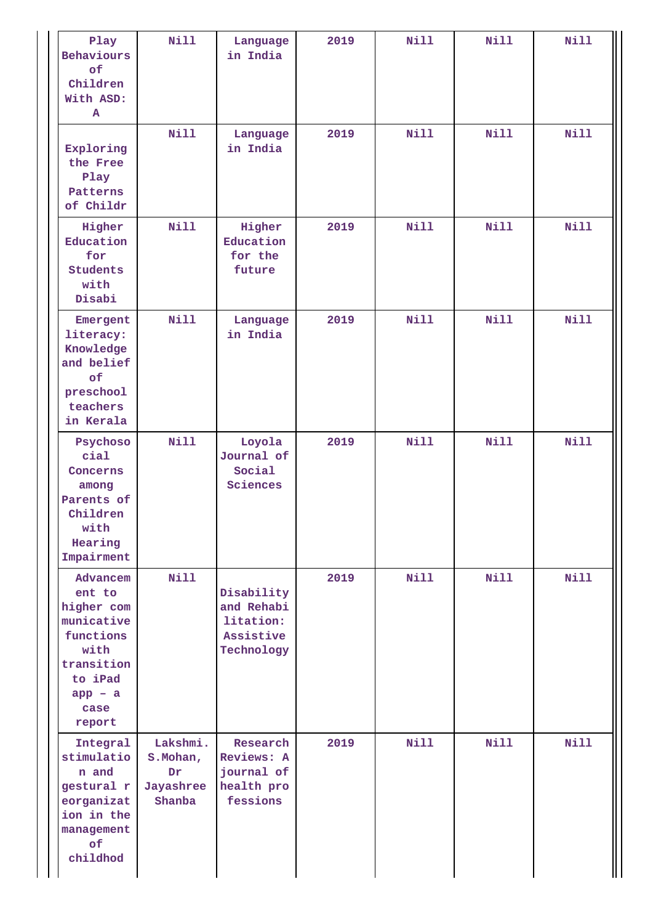| Play<br>Behaviours<br>of<br>Children<br>With ASD:<br>A                                                                      | <b>Nill</b>                                        | Language<br>in India                                             | 2019 | <b>Nill</b> | Nill        | <b>Nill</b> |
|-----------------------------------------------------------------------------------------------------------------------------|----------------------------------------------------|------------------------------------------------------------------|------|-------------|-------------|-------------|
| Exploring<br>the Free<br>Play<br>Patterns<br>of Childr                                                                      | <b>Nill</b><br>in India                            |                                                                  | 2019 | Nill        | Nill        | <b>Nill</b> |
| Higher<br>Education<br>for<br><b>Students</b><br>with<br>Disabi                                                             | <b>Nill</b>                                        | Higher<br>Education<br>for the<br>future                         | 2019 | Nill        | Nill        | <b>Nill</b> |
| Emergent<br>literacy:<br>Knowledge<br>and belief<br>of<br>preschool<br>teachers<br>in Kerala                                | <b>Nill</b>                                        | Language<br>in India                                             | 2019 | <b>Nill</b> | <b>Nill</b> | <b>Nill</b> |
| Psychoso<br>cial<br>Concerns<br>among<br>Parents of<br>Children<br>with<br>Hearing<br>Impairment                            | <b>Nill</b>                                        | Loyola<br>Journal of<br>Social<br>Sciences                       | 2019 | <b>Nill</b> | <b>Nill</b> | <b>Nill</b> |
| Advancem<br>ent to<br>higher com<br>municative<br>functions<br>with<br>transition<br>to iPad<br>$app - a$<br>case<br>report | Nill                                               | Disability<br>and Rehabi<br>litation:<br>Assistive<br>Technology | 2019 | Nill        | Nill        | <b>Nill</b> |
| Integral<br>stimulatio<br>n and<br>gestural r<br>eorganizat<br>ion in the<br>management<br>of<br>childhod                   | Lakshmi.<br>S. Mohan,<br>Dr<br>Jayashree<br>Shanba | Research<br>Reviews: A<br>journal of<br>health pro<br>fessions   | 2019 | Nill        | Nill        | <b>Nill</b> |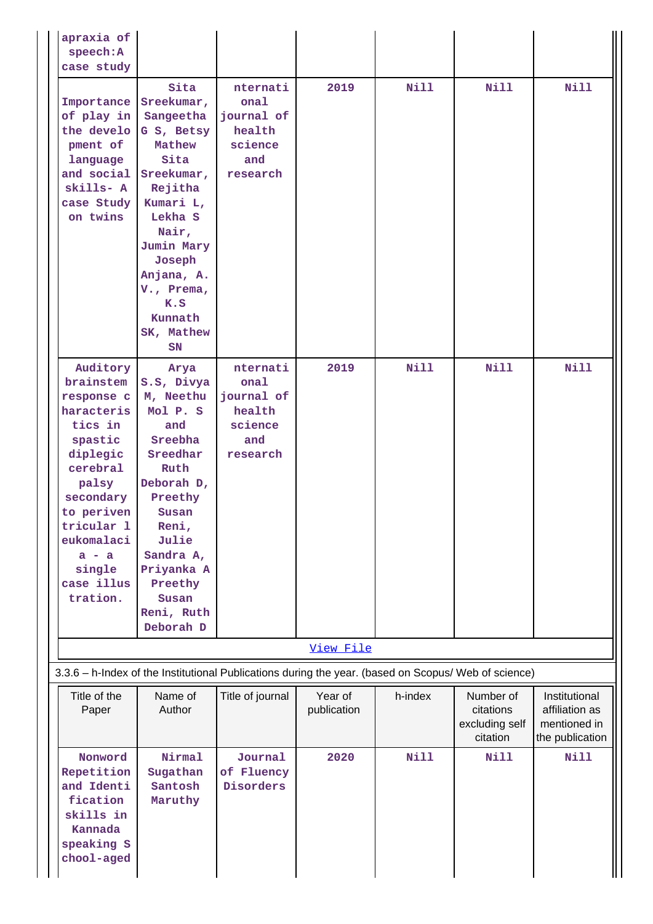| apraxia of<br>speech: A                                                                                                                                                                                        |                                                                                                                                                                                                                     |                                                                        |                        |             |                                                      |                                                                    |
|----------------------------------------------------------------------------------------------------------------------------------------------------------------------------------------------------------------|---------------------------------------------------------------------------------------------------------------------------------------------------------------------------------------------------------------------|------------------------------------------------------------------------|------------------------|-------------|------------------------------------------------------|--------------------------------------------------------------------|
| case study                                                                                                                                                                                                     |                                                                                                                                                                                                                     |                                                                        |                        |             |                                                      |                                                                    |
| Importance<br>of play in<br>the develo<br>pment of<br>language<br>and social<br>skills- A<br>case Study<br>on twins                                                                                            | Sita<br>Sreekumar,<br>Sangeetha<br>G S, Betsy<br>Mathew<br>Sita<br>Sreekumar,<br>Rejitha<br>Kumari L,<br>Lekha S<br>Nair,<br>Jumin Mary<br>Joseph<br>Anjana, A.<br>V., Prema,<br>K.S<br>Kunnath<br>SK, Mathew<br>SN | nternati<br>onal<br>journal of<br>health<br>science<br>and<br>research | 2019                   | <b>Nill</b> | Nill                                                 | <b>Nill</b>                                                        |
| Auditory<br>brainstem<br>response c<br>haracteris<br>tics in<br>spastic<br>diplegic<br>cerebral<br>palsy<br>secondary<br>to periven<br>tricular 1<br>eukomalaci<br>$a - a$<br>single<br>case illus<br>tration. | Arya<br>S.S, Divya<br>M, Neethu<br>Mol P. S<br>and<br>Sreebha<br>Sreedhar<br>Ruth<br>Deborah D,<br>Preethy<br>Susan<br>Reni,<br>Julie<br>Sandra A,<br>Priyanka A<br>Preethy<br>Susan<br>Reni, Ruth<br>Deborah D     | nternati<br>onal<br>journal of<br>health<br>science<br>and<br>research | 2019                   | Nill        | Nill                                                 | <b>Nill</b>                                                        |
|                                                                                                                                                                                                                |                                                                                                                                                                                                                     |                                                                        | View File              |             |                                                      |                                                                    |
| 3.3.6 - h-Index of the Institutional Publications during the year. (based on Scopus/ Web of science)                                                                                                           |                                                                                                                                                                                                                     |                                                                        |                        |             |                                                      |                                                                    |
| Title of the<br>Paper                                                                                                                                                                                          | Name of<br>Author                                                                                                                                                                                                   | Title of journal                                                       | Year of<br>publication | h-index     | Number of<br>citations<br>excluding self<br>citation | Institutional<br>affiliation as<br>mentioned in<br>the publication |
| Nonword<br>Repetition<br>and Identi<br>fication<br>skills in<br>Kannada<br>speaking S<br>chool-aged                                                                                                            | Nirmal<br>Sugathan<br>Santosh<br>Maruthy                                                                                                                                                                            | Journal<br>of Fluency<br>Disorders                                     | 2020                   | <b>Nill</b> | <b>Nill</b>                                          | <b>Nill</b>                                                        |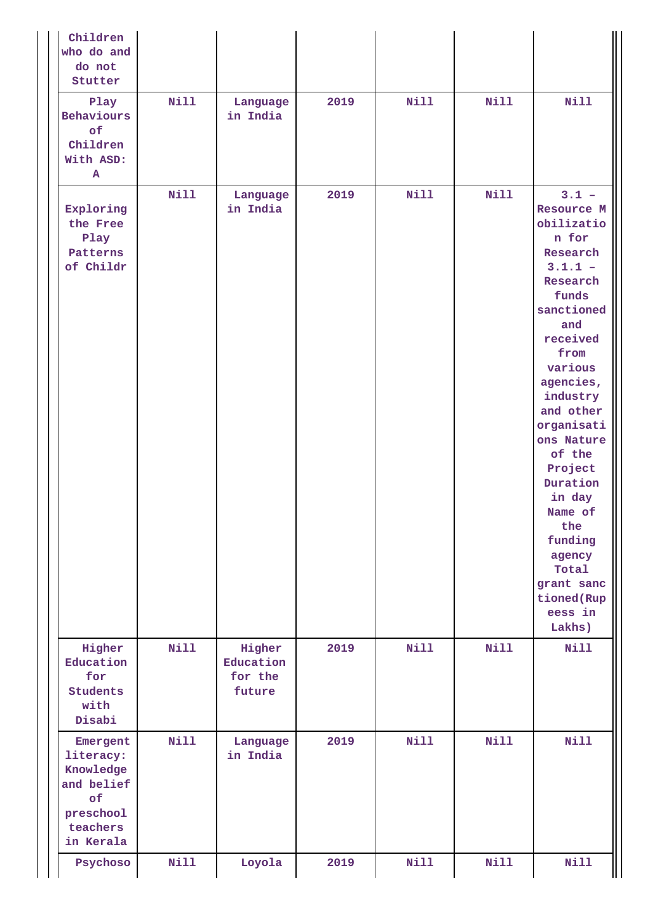| Children<br>who do and<br>do not<br>Stutter                                                  |             |                                          |      |             |             |                                                                                                                                                                                                                                                                                                                                                              |
|----------------------------------------------------------------------------------------------|-------------|------------------------------------------|------|-------------|-------------|--------------------------------------------------------------------------------------------------------------------------------------------------------------------------------------------------------------------------------------------------------------------------------------------------------------------------------------------------------------|
| Play<br>Behaviours<br>of<br>Children<br>With ASD:<br>Α                                       | <b>Nill</b> | Language<br>in India                     | 2019 | Nill        | Nill        | <b>Nill</b>                                                                                                                                                                                                                                                                                                                                                  |
| Exploring<br>the Free<br>Play<br>Patterns<br>of Childr                                       | <b>Nill</b> | Language<br>in India                     | 2019 | <b>Nill</b> | <b>Nill</b> | $3.1 -$<br>Resource M<br>obilizatio<br>n for<br>Research<br>$3.1.1 -$<br>Research<br>funds<br>sanctioned<br>and<br>received<br>from<br>various<br>agencies,<br>industry<br>and other<br>organisati<br>ons Nature<br>of the<br>Project<br>Duration<br>in day<br>Name of<br>the<br>funding<br>agency<br>Total<br>grant sanc<br>tioned(Rup<br>eess in<br>Lakhs) |
| Higher<br>Education<br>for<br><b>Students</b><br>with<br>Disabi                              | Nill        | Higher<br>Education<br>for the<br>future | 2019 | Nill        | Nill        | <b>Nill</b>                                                                                                                                                                                                                                                                                                                                                  |
| Emergent<br>literacy:<br>Knowledge<br>and belief<br>of<br>preschool<br>teachers<br>in Kerala | Nill        | Language<br>in India                     | 2019 | Nill        | Nill        | Nill                                                                                                                                                                                                                                                                                                                                                         |
| Psychoso                                                                                     | Nill        | Loyola                                   | 2019 | Nill        | Nill        | <b>Nill</b>                                                                                                                                                                                                                                                                                                                                                  |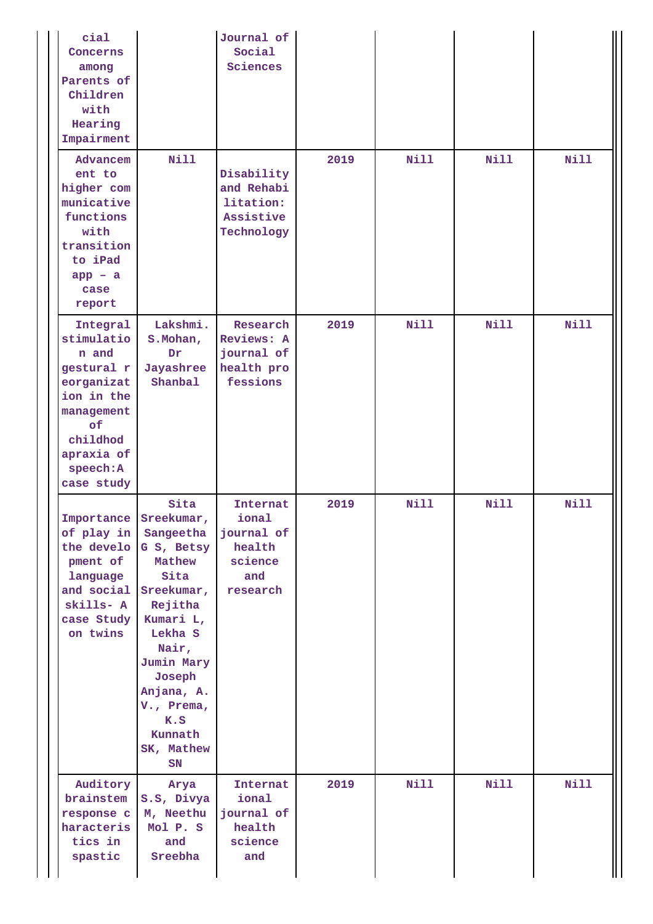| cial<br>Concerns<br>among<br>Parents of<br>Children<br>with<br>Hearing<br>Impairment                                                               |                                                                                                                                                                                                                                                      | Journal of<br>Social<br>Sciences                                        |      |             |             |             |
|----------------------------------------------------------------------------------------------------------------------------------------------------|------------------------------------------------------------------------------------------------------------------------------------------------------------------------------------------------------------------------------------------------------|-------------------------------------------------------------------------|------|-------------|-------------|-------------|
| Advancem<br>ent to<br>higher com<br>municative<br>functions<br>with<br>transition<br>to iPad<br>$app - a$<br>case<br>report                        | <b>Nill</b>                                                                                                                                                                                                                                          | Disability<br>and Rehabi<br>litation:<br>Assistive<br>Technology        | 2019 | <b>Nill</b> | <b>Nill</b> | <b>Nill</b> |
| Integral<br>stimulatio<br>n and<br>gestural r<br>eorganizat<br>ion in the<br>management<br>of<br>childhod<br>apraxia of<br>speech: A<br>case study | Lakshmi.<br>S. Mohan,<br>Dr<br>Jayashree<br>Shanbal                                                                                                                                                                                                  | Research<br>Reviews: A<br>journal of<br>health pro<br>fessions          | 2019 | Nill        | <b>Nill</b> | <b>Nill</b> |
| of play in<br>pment of<br>language<br>skills- A<br>case Study<br>on twins                                                                          | Sita<br>Importance Sreekumar,<br>Sangeetha<br>the develo G S, Betsy<br>Mathew<br>Sita<br>and social Sreekumar,<br>Rejitha<br>Kumari L,<br>Lekha S<br>Nair,<br>Jumin Mary<br>Joseph<br>Anjana, A.<br>V., Prema,<br>K.S<br>Kunnath<br>SK, Mathew<br>SN | Internat<br>ional<br>journal of<br>health<br>science<br>and<br>research | 2019 | <b>Nill</b> | <b>Nill</b> | <b>Nill</b> |
| Auditory<br>brainstem<br>response c<br>haracteris<br>tics in<br>spastic                                                                            | Arya<br>S.S, Divya<br>M, Neethu<br>Mol P. S<br>and<br>Sreebha                                                                                                                                                                                        | Internat<br>ional<br>journal of<br>health<br>science<br>and             | 2019 | <b>Nill</b> | Nill        | <b>Nill</b> |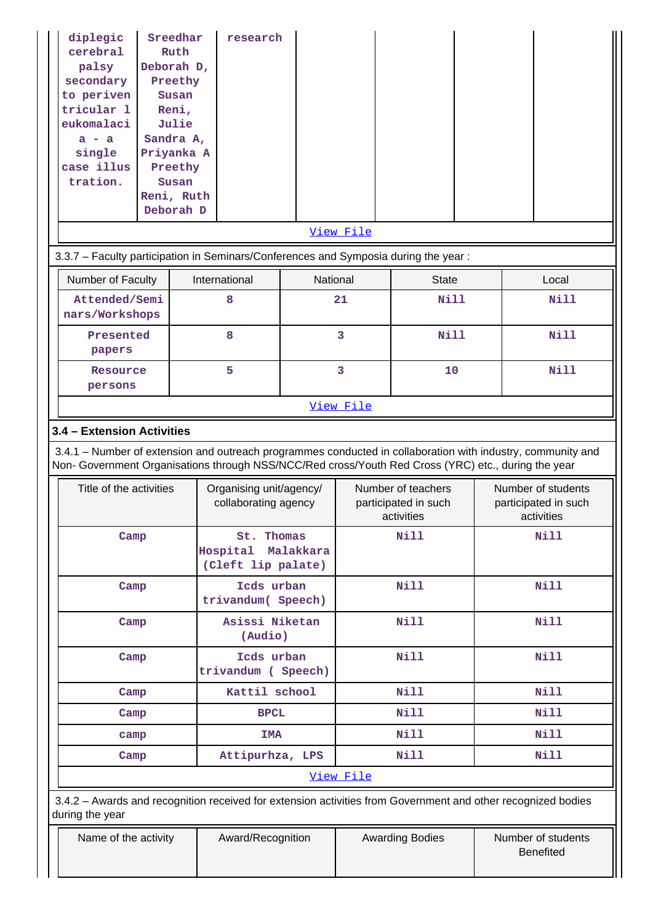| diplegic<br>cerebral<br>palsy<br>secondary<br>to periven<br>tricular 1<br>eukomalaci<br>$a - a$<br>single<br>case illus<br>tration.                                                                                                                                         |      | Sreedhar<br>Ruth<br>Deborah D,<br>Preethy<br>Susan<br>Reni,<br>Julie<br>Sandra A,<br>Priyanka A<br>Preethy<br>Susan<br>Reni, Ruth<br>Deborah D | research                                        |                     |                |                                                          |  |                           |                                            |
|-----------------------------------------------------------------------------------------------------------------------------------------------------------------------------------------------------------------------------------------------------------------------------|------|------------------------------------------------------------------------------------------------------------------------------------------------|-------------------------------------------------|---------------------|----------------|----------------------------------------------------------|--|---------------------------|--------------------------------------------|
|                                                                                                                                                                                                                                                                             |      |                                                                                                                                                |                                                 |                     | View File      |                                                          |  |                           |                                            |
| 3.3.7 - Faculty participation in Seminars/Conferences and Symposia during the year:                                                                                                                                                                                         |      |                                                                                                                                                |                                                 |                     |                |                                                          |  |                           |                                            |
| Number of Faculty<br>International<br>National<br><b>State</b><br>Local                                                                                                                                                                                                     |      |                                                                                                                                                |                                                 |                     |                |                                                          |  |                           |                                            |
| Attended/Semi<br>nars/Workshops                                                                                                                                                                                                                                             |      |                                                                                                                                                | 8                                               |                     | 21             | <b>Nill</b>                                              |  |                           | Nill                                       |
| Presented<br>papers                                                                                                                                                                                                                                                         |      |                                                                                                                                                | 8                                               |                     | $\overline{3}$ | Nill                                                     |  |                           | <b>Nill</b>                                |
| Resource<br>persons                                                                                                                                                                                                                                                         |      |                                                                                                                                                | 5                                               |                     | 3<br>10        |                                                          |  |                           | <b>Nill</b>                                |
|                                                                                                                                                                                                                                                                             |      |                                                                                                                                                |                                                 |                     | View File      |                                                          |  |                           |                                            |
| 3.4 - Extension Activities<br>3.4.1 – Number of extension and outreach programmes conducted in collaboration with industry, community and<br>Non- Government Organisations through NSS/NCC/Red cross/Youth Red Cross (YRC) etc., during the year<br>Title of the activities |      |                                                                                                                                                | Organising unit/agency/<br>collaborating agency |                     |                | Number of teachers<br>participated in such<br>activities |  |                           | Number of students<br>participated in such |
| Camp                                                                                                                                                                                                                                                                        |      |                                                                                                                                                | St.<br>Hospital<br>(Cleft lip palate)           | Thomas<br>Malakkara |                | <b>Nill</b>                                              |  | activities<br><b>Nill</b> |                                            |
| Camp                                                                                                                                                                                                                                                                        |      |                                                                                                                                                | Icds urban<br>trivandum( Speech)                |                     |                | <b>Nill</b>                                              |  |                           | <b>Nill</b>                                |
| Camp                                                                                                                                                                                                                                                                        |      |                                                                                                                                                | Asissi Niketan<br>(Audio)                       |                     |                | <b>Nill</b>                                              |  |                           | <b>Nill</b>                                |
| Camp                                                                                                                                                                                                                                                                        |      |                                                                                                                                                | Icds urban<br>trivandum (Speech)                |                     |                | Nill                                                     |  |                           | <b>Nill</b>                                |
| Camp                                                                                                                                                                                                                                                                        |      |                                                                                                                                                | Kattil school                                   |                     |                | Nill                                                     |  |                           | Nill                                       |
| Camp                                                                                                                                                                                                                                                                        |      |                                                                                                                                                | <b>BPCL</b>                                     |                     |                | <b>Nill</b>                                              |  |                           | <b>Nill</b>                                |
|                                                                                                                                                                                                                                                                             | camp |                                                                                                                                                | IMA                                             |                     |                | Nill                                                     |  |                           | Nill                                       |
| Camp                                                                                                                                                                                                                                                                        |      |                                                                                                                                                | Attipurhza, LPS                                 |                     |                | Nill                                                     |  |                           | <b>Nill</b>                                |
| 3.4.2 - Awards and recognition received for extension activities from Government and other recognized bodies<br>during the year                                                                                                                                             |      |                                                                                                                                                |                                                 |                     | View File      |                                                          |  |                           |                                            |
| Name of the activity                                                                                                                                                                                                                                                        |      |                                                                                                                                                | Award/Recognition                               |                     |                | <b>Awarding Bodies</b>                                   |  |                           | Number of students                         |

Benefited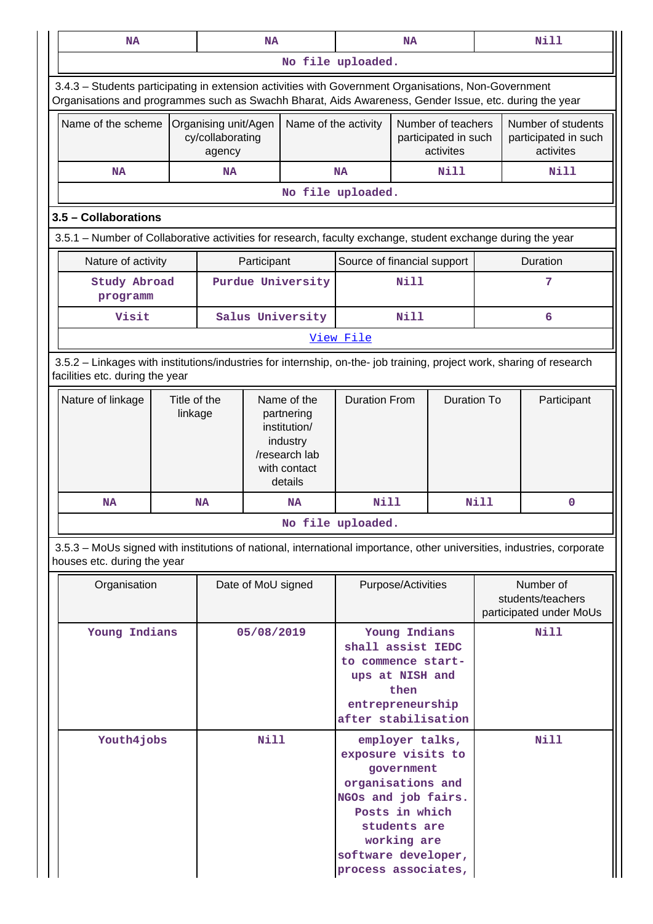| NA                                                                                                                                                                                                             |  | <b>NA</b>                                          |                    |                                                                                                   | <b>NA</b>                                                                                                                                                                                      |             |  | <b>Nill</b>                                               |      |                                            |
|----------------------------------------------------------------------------------------------------------------------------------------------------------------------------------------------------------------|--|----------------------------------------------------|--------------------|---------------------------------------------------------------------------------------------------|------------------------------------------------------------------------------------------------------------------------------------------------------------------------------------------------|-------------|--|-----------------------------------------------------------|------|--------------------------------------------|
|                                                                                                                                                                                                                |  |                                                    |                    |                                                                                                   | No file uploaded.                                                                                                                                                                              |             |  |                                                           |      |                                            |
| 3.4.3 - Students participating in extension activities with Government Organisations, Non-Government<br>Organisations and programmes such as Swachh Bharat, Aids Awareness, Gender Issue, etc. during the year |  |                                                    |                    |                                                                                                   |                                                                                                                                                                                                |             |  |                                                           |      |                                            |
| Name of the scheme                                                                                                                                                                                             |  | Organising unit/Agen<br>cy/collaborating<br>agency |                    |                                                                                                   | Name of the activity<br>Number of teachers<br>participated in such<br>activites                                                                                                                |             |  | activites                                                 |      | Number of students<br>participated in such |
| <b>NA</b>                                                                                                                                                                                                      |  | <b>NA</b>                                          |                    | <b>Nill</b>                                                                                       |                                                                                                                                                                                                | <b>Nill</b> |  |                                                           |      |                                            |
|                                                                                                                                                                                                                |  |                                                    |                    |                                                                                                   | No file uploaded.                                                                                                                                                                              |             |  |                                                           |      |                                            |
| 3.5 - Collaborations                                                                                                                                                                                           |  |                                                    |                    |                                                                                                   |                                                                                                                                                                                                |             |  |                                                           |      |                                            |
| 3.5.1 – Number of Collaborative activities for research, faculty exchange, student exchange during the year                                                                                                    |  |                                                    |                    |                                                                                                   |                                                                                                                                                                                                |             |  |                                                           |      |                                            |
| Nature of activity                                                                                                                                                                                             |  |                                                    | Participant        |                                                                                                   | Source of financial support                                                                                                                                                                    |             |  |                                                           |      | Duration                                   |
| <b>Study Abroad</b><br>programm                                                                                                                                                                                |  |                                                    |                    | Purdue University                                                                                 |                                                                                                                                                                                                | Nill        |  |                                                           |      | 7                                          |
| Visit                                                                                                                                                                                                          |  |                                                    |                    | Salus University                                                                                  |                                                                                                                                                                                                | <b>Nill</b> |  |                                                           |      | 6                                          |
|                                                                                                                                                                                                                |  |                                                    |                    |                                                                                                   | View File                                                                                                                                                                                      |             |  |                                                           |      |                                            |
| 3.5.2 - Linkages with institutions/industries for internship, on-the- job training, project work, sharing of research<br>facilities etc. during the year                                                       |  |                                                    |                    |                                                                                                   |                                                                                                                                                                                                |             |  |                                                           |      |                                            |
| Title of the<br>Nature of linkage<br>linkage                                                                                                                                                                   |  |                                                    |                    | Name of the<br>partnering<br>institution/<br>industry<br>/research lab<br>with contact<br>details | <b>Duration From</b>                                                                                                                                                                           |             |  | <b>Duration To</b>                                        |      | Participant                                |
| <b>NA</b>                                                                                                                                                                                                      |  | <b>NA</b>                                          |                    | <b>NA</b>                                                                                         | <b>Nill</b>                                                                                                                                                                                    |             |  | <b>Nill</b>                                               |      | 0                                          |
|                                                                                                                                                                                                                |  |                                                    |                    |                                                                                                   | No file uploaded.                                                                                                                                                                              |             |  |                                                           |      |                                            |
| 3.5.3 – MoUs signed with institutions of national, international importance, other universities, industries, corporate<br>houses etc. during the year                                                          |  |                                                    |                    |                                                                                                   |                                                                                                                                                                                                |             |  |                                                           |      |                                            |
| Organisation                                                                                                                                                                                                   |  |                                                    | Date of MoU signed |                                                                                                   | Purpose/Activities                                                                                                                                                                             |             |  | Number of<br>students/teachers<br>participated under MoUs |      |                                            |
| Young Indians                                                                                                                                                                                                  |  |                                                    | 05/08/2019         |                                                                                                   | Young Indians<br>shall assist IEDC<br>to commence start-<br>ups at NISH and<br>then<br>entrepreneurship<br>after stabilisation                                                                 |             |  | Nill                                                      |      |                                            |
| Youth4 jobs                                                                                                                                                                                                    |  |                                                    | <b>Nill</b>        |                                                                                                   | employer talks,<br>exposure visits to<br>government<br>organisations and<br>NGOs and job fairs.<br>Posts in which<br>students are<br>working are<br>software developer,<br>process associates, |             |  |                                                           | Nill |                                            |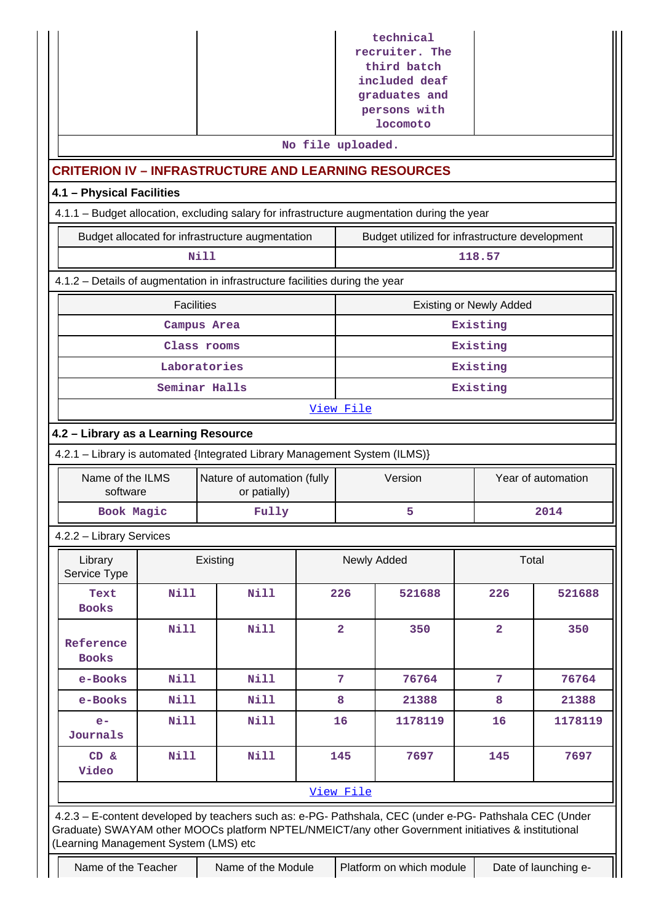|                                                                                                                                                                                                                                                         |                                                                                               |                                                  |  | technical<br>recruiter. The<br>third batch<br>included deaf<br>graduates and |                                                |                |                    |  |  |
|---------------------------------------------------------------------------------------------------------------------------------------------------------------------------------------------------------------------------------------------------------|-----------------------------------------------------------------------------------------------|--------------------------------------------------|--|------------------------------------------------------------------------------|------------------------------------------------|----------------|--------------------|--|--|
|                                                                                                                                                                                                                                                         |                                                                                               |                                                  |  |                                                                              | persons with<br>locomoto                       |                |                    |  |  |
|                                                                                                                                                                                                                                                         |                                                                                               |                                                  |  | No file uploaded.                                                            |                                                |                |                    |  |  |
| <b>CRITERION IV - INFRASTRUCTURE AND LEARNING RESOURCES</b>                                                                                                                                                                                             |                                                                                               |                                                  |  |                                                                              |                                                |                |                    |  |  |
|                                                                                                                                                                                                                                                         | 4.1 - Physical Facilities                                                                     |                                                  |  |                                                                              |                                                |                |                    |  |  |
| 4.1.1 - Budget allocation, excluding salary for infrastructure augmentation during the year                                                                                                                                                             |                                                                                               |                                                  |  |                                                                              |                                                |                |                    |  |  |
|                                                                                                                                                                                                                                                         |                                                                                               | Budget allocated for infrastructure augmentation |  |                                                                              | Budget utilized for infrastructure development |                |                    |  |  |
|                                                                                                                                                                                                                                                         |                                                                                               | Nill                                             |  |                                                                              |                                                | 118.57         |                    |  |  |
| 4.1.2 - Details of augmentation in infrastructure facilities during the year                                                                                                                                                                            |                                                                                               |                                                  |  |                                                                              |                                                |                |                    |  |  |
| <b>Facilities</b><br><b>Existing or Newly Added</b>                                                                                                                                                                                                     |                                                                                               |                                                  |  |                                                                              |                                                |                |                    |  |  |
|                                                                                                                                                                                                                                                         |                                                                                               | Campus Area                                      |  |                                                                              |                                                | Existing       |                    |  |  |
|                                                                                                                                                                                                                                                         |                                                                                               | Class rooms                                      |  |                                                                              |                                                | Existing       |                    |  |  |
|                                                                                                                                                                                                                                                         |                                                                                               | Laboratories                                     |  |                                                                              |                                                | Existing       |                    |  |  |
|                                                                                                                                                                                                                                                         |                                                                                               | Seminar Halls                                    |  |                                                                              |                                                | Existing       |                    |  |  |
|                                                                                                                                                                                                                                                         |                                                                                               |                                                  |  | View File                                                                    |                                                |                |                    |  |  |
| 4.2 - Library as a Learning Resource                                                                                                                                                                                                                    |                                                                                               |                                                  |  |                                                                              |                                                |                |                    |  |  |
| 4.2.1 - Library is automated {Integrated Library Management System (ILMS)}                                                                                                                                                                              |                                                                                               |                                                  |  |                                                                              |                                                |                |                    |  |  |
| Name of the ILMS<br>software                                                                                                                                                                                                                            |                                                                                               | Nature of automation (fully<br>or patially)      |  |                                                                              | Version                                        |                | Year of automation |  |  |
| Book Magic                                                                                                                                                                                                                                              |                                                                                               | Fully                                            |  |                                                                              | 5                                              |                | 2014               |  |  |
| 4.2.2 - Library Services                                                                                                                                                                                                                                |                                                                                               |                                                  |  |                                                                              |                                                |                |                    |  |  |
| Library<br>Service Type                                                                                                                                                                                                                                 |                                                                                               | Existing                                         |  |                                                                              | Newly Added                                    | Total          |                    |  |  |
| Text<br><b>Books</b>                                                                                                                                                                                                                                    | <b>Nill</b>                                                                                   | <b>Nill</b>                                      |  | 226                                                                          | 521688                                         | 226            | 521688             |  |  |
| Reference<br><b>Books</b>                                                                                                                                                                                                                               | <b>Nill</b>                                                                                   | <b>Nill</b>                                      |  | $\overline{2}$                                                               | 350                                            | $\overline{2}$ | 350                |  |  |
| e-Books                                                                                                                                                                                                                                                 | <b>Nill</b>                                                                                   | <b>Nill</b>                                      |  | 7                                                                            | 76764                                          | $\overline{7}$ | 76764              |  |  |
| e-Books                                                                                                                                                                                                                                                 | <b>Nill</b>                                                                                   | Nill                                             |  | 8                                                                            | 21388                                          | 8              | 21388              |  |  |
| $e-$<br>Journals                                                                                                                                                                                                                                        | <b>Nill</b>                                                                                   | <b>Nill</b>                                      |  | 16                                                                           | 1178119                                        | 16             | 1178119            |  |  |
| CD &<br>Video                                                                                                                                                                                                                                           | <b>Nill</b>                                                                                   | <b>Nill</b>                                      |  | 145                                                                          | 7697                                           | 145            | 7697               |  |  |
|                                                                                                                                                                                                                                                         |                                                                                               |                                                  |  | View File                                                                    |                                                |                |                    |  |  |
| 4.2.3 - E-content developed by teachers such as: e-PG- Pathshala, CEC (under e-PG- Pathshala CEC (Under<br>Graduate) SWAYAM other MOOCs platform NPTEL/NMEICT/any other Government initiatives & institutional<br>(Learning Management System (LMS) etc |                                                                                               |                                                  |  |                                                                              |                                                |                |                    |  |  |
|                                                                                                                                                                                                                                                         | Name of the Teacher<br>Name of the Module<br>Platform on which module<br>Date of launching e- |                                                  |  |                                                                              |                                                |                |                    |  |  |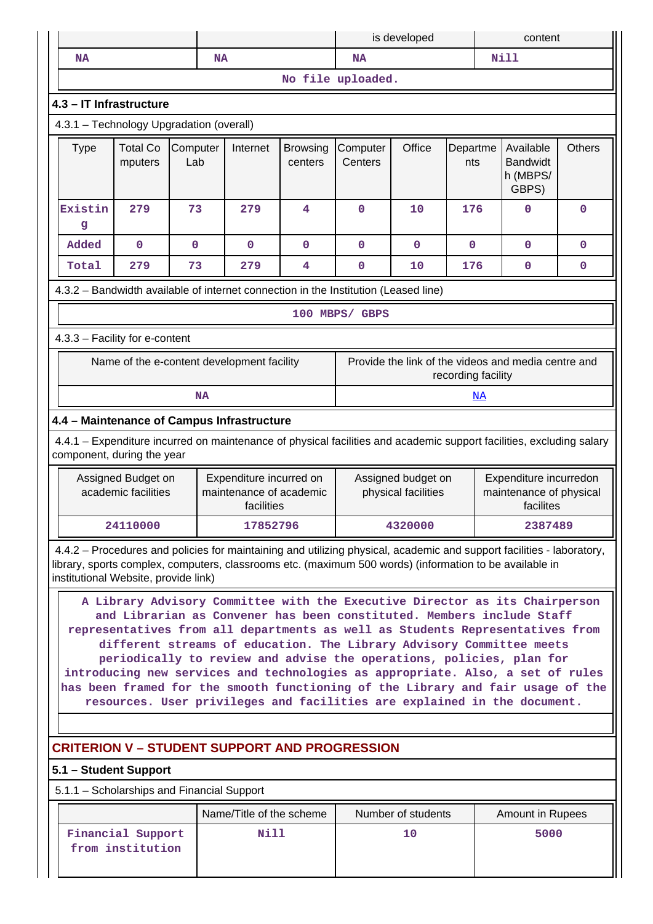|                                                                                                                                                                                                                                                                                                                                                                                                                                                                                                                                                                                                                                        |                                                      |                 |                                                                                                                                                                                                                                  |                            | is developed                                                                                                |                    |                    | content                                             |               |
|----------------------------------------------------------------------------------------------------------------------------------------------------------------------------------------------------------------------------------------------------------------------------------------------------------------------------------------------------------------------------------------------------------------------------------------------------------------------------------------------------------------------------------------------------------------------------------------------------------------------------------------|------------------------------------------------------|-----------------|----------------------------------------------------------------------------------------------------------------------------------------------------------------------------------------------------------------------------------|----------------------------|-------------------------------------------------------------------------------------------------------------|--------------------|--------------------|-----------------------------------------------------|---------------|
| NA                                                                                                                                                                                                                                                                                                                                                                                                                                                                                                                                                                                                                                     |                                                      |                 | <b>NA</b>                                                                                                                                                                                                                        |                            | <b>NA</b>                                                                                                   |                    |                    | <b>Nill</b>                                         |               |
|                                                                                                                                                                                                                                                                                                                                                                                                                                                                                                                                                                                                                                        |                                                      |                 |                                                                                                                                                                                                                                  |                            | No file uploaded.                                                                                           |                    |                    |                                                     |               |
| 4.3 - IT Infrastructure                                                                                                                                                                                                                                                                                                                                                                                                                                                                                                                                                                                                                |                                                      |                 |                                                                                                                                                                                                                                  |                            |                                                                                                             |                    |                    |                                                     |               |
| 4.3.1 - Technology Upgradation (overall)                                                                                                                                                                                                                                                                                                                                                                                                                                                                                                                                                                                               |                                                      |                 |                                                                                                                                                                                                                                  |                            |                                                                                                             |                    |                    |                                                     |               |
| <b>Type</b>                                                                                                                                                                                                                                                                                                                                                                                                                                                                                                                                                                                                                            | <b>Total Co</b><br>mputers                           | Computer<br>Lab | Internet                                                                                                                                                                                                                         | <b>Browsing</b><br>centers | Computer<br>Centers                                                                                         | Office             | Departme<br>nts    | Available<br><b>Bandwidt</b><br>h (MBPS/<br>GBPS)   | <b>Others</b> |
| Existin<br>g                                                                                                                                                                                                                                                                                                                                                                                                                                                                                                                                                                                                                           | 279                                                  | 73              | 279                                                                                                                                                                                                                              | 4                          | $\mathbf 0$                                                                                                 | 10                 | 176                | $\mathbf 0$                                         | $\mathbf 0$   |
| Added                                                                                                                                                                                                                                                                                                                                                                                                                                                                                                                                                                                                                                  | $\mathbf 0$                                          | 0               | $\mathbf 0$                                                                                                                                                                                                                      | 0                          | $\mathbf 0$                                                                                                 | $\mathbf 0$        | 0                  | $\mathbf 0$                                         | $\mathbf 0$   |
| Total                                                                                                                                                                                                                                                                                                                                                                                                                                                                                                                                                                                                                                  | 279                                                  | 73              | 279                                                                                                                                                                                                                              | 4                          | $\mathbf 0$                                                                                                 | 10                 | 176                | $\pmb{0}$                                           | $\mathbf 0$   |
|                                                                                                                                                                                                                                                                                                                                                                                                                                                                                                                                                                                                                                        |                                                      |                 | 4.3.2 - Bandwidth available of internet connection in the Institution (Leased line)                                                                                                                                              |                            |                                                                                                             |                    |                    |                                                     |               |
|                                                                                                                                                                                                                                                                                                                                                                                                                                                                                                                                                                                                                                        |                                                      |                 |                                                                                                                                                                                                                                  |                            | 100 MBPS/ GBPS                                                                                              |                    |                    |                                                     |               |
| 4.3.3 - Facility for e-content                                                                                                                                                                                                                                                                                                                                                                                                                                                                                                                                                                                                         |                                                      |                 |                                                                                                                                                                                                                                  |                            |                                                                                                             |                    |                    |                                                     |               |
|                                                                                                                                                                                                                                                                                                                                                                                                                                                                                                                                                                                                                                        |                                                      |                 | Name of the e-content development facility                                                                                                                                                                                       |                            |                                                                                                             |                    | recording facility | Provide the link of the videos and media centre and |               |
|                                                                                                                                                                                                                                                                                                                                                                                                                                                                                                                                                                                                                                        |                                                      | <b>NA</b>       |                                                                                                                                                                                                                                  |                            |                                                                                                             |                    | <u>NA</u>          |                                                     |               |
|                                                                                                                                                                                                                                                                                                                                                                                                                                                                                                                                                                                                                                        |                                                      |                 | 4.4 - Maintenance of Campus Infrastructure                                                                                                                                                                                       |                            |                                                                                                             |                    |                    |                                                     |               |
| component, during the year                                                                                                                                                                                                                                                                                                                                                                                                                                                                                                                                                                                                             |                                                      |                 | 4.4.1 – Expenditure incurred on maintenance of physical facilities and academic support facilities, excluding salary                                                                                                             |                            |                                                                                                             |                    |                    |                                                     |               |
|                                                                                                                                                                                                                                                                                                                                                                                                                                                                                                                                                                                                                                        | Assigned Budget on<br>academic facilities            |                 | Expenditure incurred on<br>maintenance of academic<br>facilities                                                                                                                                                                 |                            | Assigned budget on<br>Expenditure incurredon<br>physical facilities<br>maintenance of physical<br>facilites |                    |                    |                                                     |               |
|                                                                                                                                                                                                                                                                                                                                                                                                                                                                                                                                                                                                                                        | 24110000                                             |                 | 17852796                                                                                                                                                                                                                         |                            |                                                                                                             | 4320000            |                    | 2387489                                             |               |
| institutional Website, provide link)                                                                                                                                                                                                                                                                                                                                                                                                                                                                                                                                                                                                   |                                                      |                 | 4.4.2 – Procedures and policies for maintaining and utilizing physical, academic and support facilities - laboratory,<br>library, sports complex, computers, classrooms etc. (maximum 500 words) (information to be available in |                            |                                                                                                             |                    |                    |                                                     |               |
| A Library Advisory Committee with the Executive Director as its Chairperson<br>and Librarian as Convener has been constituted. Members include Staff<br>representatives from all departments as well as Students Representatives from<br>different streams of education. The Library Advisory Committee meets<br>periodically to review and advise the operations, policies, plan for<br>introducing new services and technologies as appropriate. Also, a set of rules<br>has been framed for the smooth functioning of the Library and fair usage of the<br>resources. User privileges and facilities are explained in the document. |                                                      |                 |                                                                                                                                                                                                                                  |                            |                                                                                                             |                    |                    |                                                     |               |
|                                                                                                                                                                                                                                                                                                                                                                                                                                                                                                                                                                                                                                        | <b>CRITERION V - STUDENT SUPPORT AND PROGRESSION</b> |                 |                                                                                                                                                                                                                                  |                            |                                                                                                             |                    |                    |                                                     |               |
| 5.1 - Student Support                                                                                                                                                                                                                                                                                                                                                                                                                                                                                                                                                                                                                  |                                                      |                 |                                                                                                                                                                                                                                  |                            |                                                                                                             |                    |                    |                                                     |               |
|                                                                                                                                                                                                                                                                                                                                                                                                                                                                                                                                                                                                                                        |                                                      |                 | 5.1.1 - Scholarships and Financial Support                                                                                                                                                                                       |                            |                                                                                                             |                    |                    |                                                     |               |
|                                                                                                                                                                                                                                                                                                                                                                                                                                                                                                                                                                                                                                        |                                                      |                 | Name/Title of the scheme                                                                                                                                                                                                         |                            |                                                                                                             | Number of students |                    | Amount in Rupees                                    |               |
|                                                                                                                                                                                                                                                                                                                                                                                                                                                                                                                                                                                                                                        | Financial Support<br>from institution                |                 | Nill                                                                                                                                                                                                                             |                            |                                                                                                             | 10                 |                    | 5000                                                |               |
|                                                                                                                                                                                                                                                                                                                                                                                                                                                                                                                                                                                                                                        |                                                      |                 |                                                                                                                                                                                                                                  |                            |                                                                                                             |                    |                    |                                                     |               |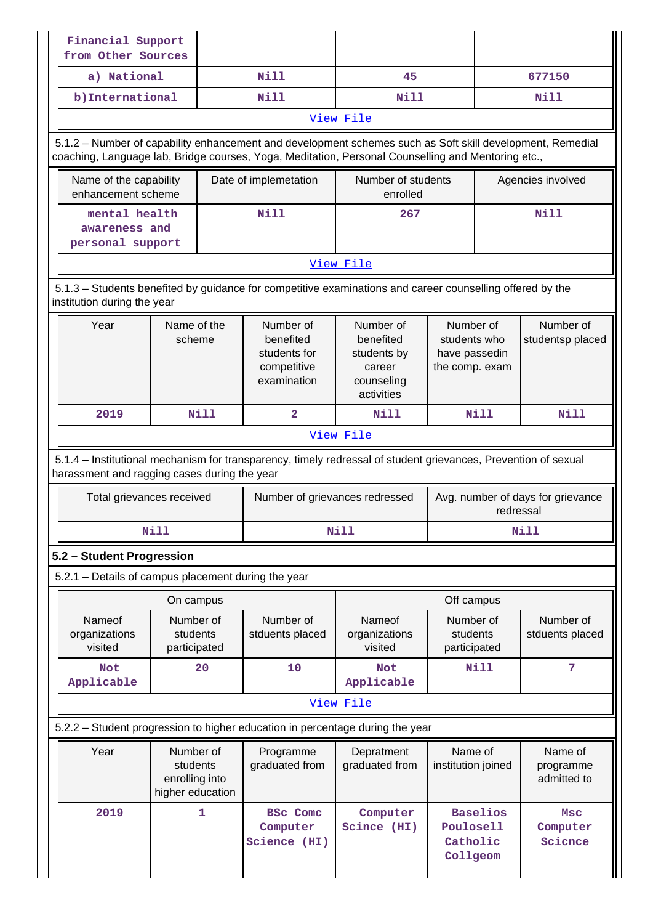| Financial Support<br>from Other Sources                                                                                                                                                                         |                                                                                                                                                                |                                                                                                           |                                                                             |                                                              |                                                |  |  |  |  |  |
|-----------------------------------------------------------------------------------------------------------------------------------------------------------------------------------------------------------------|----------------------------------------------------------------------------------------------------------------------------------------------------------------|-----------------------------------------------------------------------------------------------------------|-----------------------------------------------------------------------------|--------------------------------------------------------------|------------------------------------------------|--|--|--|--|--|
| a) National                                                                                                                                                                                                     |                                                                                                                                                                | Nill                                                                                                      | 45                                                                          |                                                              | 677150                                         |  |  |  |  |  |
| b) International                                                                                                                                                                                                |                                                                                                                                                                | <b>Nill</b>                                                                                               | Nill                                                                        |                                                              | Nill                                           |  |  |  |  |  |
|                                                                                                                                                                                                                 | View File                                                                                                                                                      |                                                                                                           |                                                                             |                                                              |                                                |  |  |  |  |  |
| 5.1.2 – Number of capability enhancement and development schemes such as Soft skill development, Remedial<br>coaching, Language lab, Bridge courses, Yoga, Meditation, Personal Counselling and Mentoring etc., |                                                                                                                                                                |                                                                                                           |                                                                             |                                                              |                                                |  |  |  |  |  |
| Name of the capability<br>enhancement scheme                                                                                                                                                                    |                                                                                                                                                                | Date of implemetation                                                                                     | Number of students<br>enrolled                                              |                                                              | Agencies involved                              |  |  |  |  |  |
| mental health<br>awareness and<br>personal support                                                                                                                                                              |                                                                                                                                                                | Nill                                                                                                      | 267                                                                         |                                                              | Nill                                           |  |  |  |  |  |
|                                                                                                                                                                                                                 |                                                                                                                                                                |                                                                                                           | View File                                                                   |                                                              |                                                |  |  |  |  |  |
| institution during the year                                                                                                                                                                                     |                                                                                                                                                                | 5.1.3 - Students benefited by guidance for competitive examinations and career counselling offered by the |                                                                             |                                                              |                                                |  |  |  |  |  |
| Year                                                                                                                                                                                                            | Name of the<br>scheme                                                                                                                                          | Number of<br>benefited<br>students for<br>competitive<br>examination                                      | Number of<br>benefited<br>students by<br>career<br>counseling<br>activities | Number of<br>students who<br>have passedin<br>the comp. exam | Number of<br>studentsp placed                  |  |  |  |  |  |
| 2019                                                                                                                                                                                                            | <b>Nill</b>                                                                                                                                                    | $\overline{2}$                                                                                            | Nill                                                                        | Nill                                                         | Nill                                           |  |  |  |  |  |
|                                                                                                                                                                                                                 |                                                                                                                                                                |                                                                                                           | View File                                                                   |                                                              |                                                |  |  |  |  |  |
|                                                                                                                                                                                                                 | 5.1.4 – Institutional mechanism for transparency, timely redressal of student grievances, Prevention of sexual<br>harassment and ragging cases during the year |                                                                                                           |                                                                             |                                                              |                                                |  |  |  |  |  |
| Total grievances received                                                                                                                                                                                       |                                                                                                                                                                |                                                                                                           | Number of grievances redressed                                              |                                                              | Avg. number of days for grievance<br>redressal |  |  |  |  |  |
|                                                                                                                                                                                                                 | <b>Nill</b>                                                                                                                                                    |                                                                                                           | <b>Nill</b>                                                                 |                                                              | <b>Nill</b>                                    |  |  |  |  |  |
| 5.2 - Student Progression                                                                                                                                                                                       |                                                                                                                                                                |                                                                                                           |                                                                             |                                                              |                                                |  |  |  |  |  |
| 5.2.1 - Details of campus placement during the year                                                                                                                                                             |                                                                                                                                                                |                                                                                                           |                                                                             |                                                              |                                                |  |  |  |  |  |
|                                                                                                                                                                                                                 | On campus                                                                                                                                                      |                                                                                                           |                                                                             | Off campus                                                   |                                                |  |  |  |  |  |
| Nameof<br>organizations<br>visited                                                                                                                                                                              | Number of<br>students<br>participated                                                                                                                          | Number of<br>stduents placed                                                                              | Nameof<br>organizations<br>visited                                          | Number of<br>students<br>participated                        | Number of<br>stduents placed                   |  |  |  |  |  |
| <b>Not</b><br>Applicable                                                                                                                                                                                        | 20                                                                                                                                                             | 10                                                                                                        | <b>Not</b><br>Applicable                                                    | <b>Nill</b>                                                  | 7                                              |  |  |  |  |  |
|                                                                                                                                                                                                                 |                                                                                                                                                                |                                                                                                           | View File                                                                   |                                                              |                                                |  |  |  |  |  |
|                                                                                                                                                                                                                 |                                                                                                                                                                | 5.2.2 - Student progression to higher education in percentage during the year                             |                                                                             |                                                              |                                                |  |  |  |  |  |
| Year                                                                                                                                                                                                            | Number of<br>students<br>enrolling into<br>higher education                                                                                                    | Programme<br>graduated from                                                                               | Depratment<br>graduated from                                                | Name of<br>institution joined                                | Name of<br>programme<br>admitted to            |  |  |  |  |  |
| 2019                                                                                                                                                                                                            | 1                                                                                                                                                              | <b>BSc</b> Comc<br>Computer<br>Science (HI)                                                               | Computer<br>Scince (HI)                                                     | <b>Baselios</b><br>Poulosell<br>Catholic<br>Collgeom         | Msc<br>Computer<br>Science                     |  |  |  |  |  |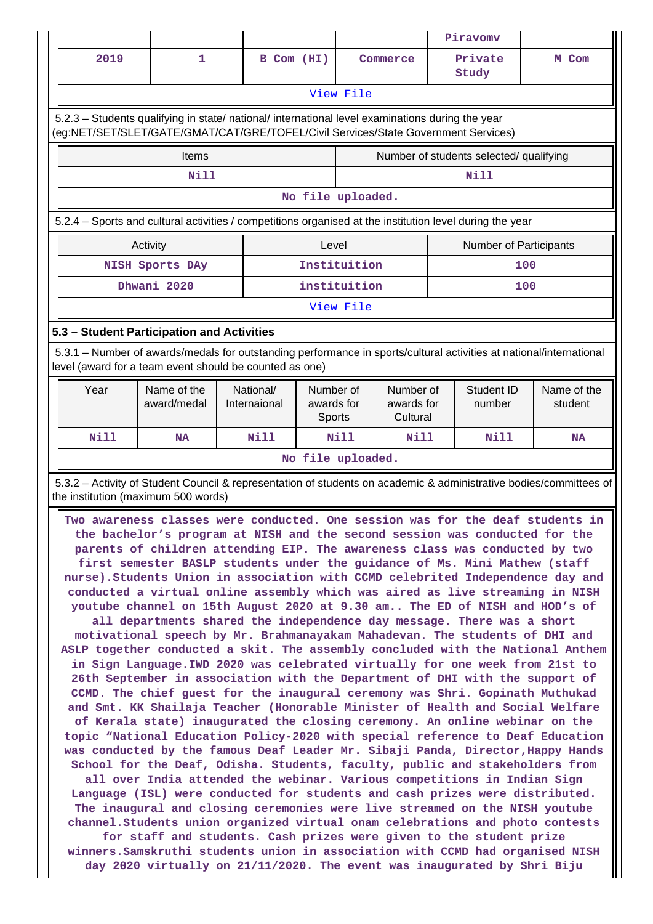|                                                                                                                                                                                                                                                                                                                                                                                                                                                                                                                                                                                                                                                                                                                                                                                                                                                                                                                                                                                                                                                                                                                                                                                                                                                                                                                                                                                                                                                                                                                                                                                                                                                                                                                                                                                                                                                                                                                                                                                                                                                                                                                                                   |                                                                                                                                                                                |                           |                                   |              |                                     |  | Piravomv                      |                        |  |
|---------------------------------------------------------------------------------------------------------------------------------------------------------------------------------------------------------------------------------------------------------------------------------------------------------------------------------------------------------------------------------------------------------------------------------------------------------------------------------------------------------------------------------------------------------------------------------------------------------------------------------------------------------------------------------------------------------------------------------------------------------------------------------------------------------------------------------------------------------------------------------------------------------------------------------------------------------------------------------------------------------------------------------------------------------------------------------------------------------------------------------------------------------------------------------------------------------------------------------------------------------------------------------------------------------------------------------------------------------------------------------------------------------------------------------------------------------------------------------------------------------------------------------------------------------------------------------------------------------------------------------------------------------------------------------------------------------------------------------------------------------------------------------------------------------------------------------------------------------------------------------------------------------------------------------------------------------------------------------------------------------------------------------------------------------------------------------------------------------------------------------------------------|--------------------------------------------------------------------------------------------------------------------------------------------------------------------------------|---------------------------|-----------------------------------|--------------|-------------------------------------|--|-------------------------------|------------------------|--|
| 2019                                                                                                                                                                                                                                                                                                                                                                                                                                                                                                                                                                                                                                                                                                                                                                                                                                                                                                                                                                                                                                                                                                                                                                                                                                                                                                                                                                                                                                                                                                                                                                                                                                                                                                                                                                                                                                                                                                                                                                                                                                                                                                                                              | 1                                                                                                                                                                              |                           | B Com (HI)                        |              | Commerce                            |  | Private<br>Study              | M Com                  |  |
| View File                                                                                                                                                                                                                                                                                                                                                                                                                                                                                                                                                                                                                                                                                                                                                                                                                                                                                                                                                                                                                                                                                                                                                                                                                                                                                                                                                                                                                                                                                                                                                                                                                                                                                                                                                                                                                                                                                                                                                                                                                                                                                                                                         |                                                                                                                                                                                |                           |                                   |              |                                     |  |                               |                        |  |
| 5.2.3 - Students qualifying in state/ national/ international level examinations during the year<br>(eg:NET/SET/SLET/GATE/GMAT/CAT/GRE/TOFEL/Civil Services/State Government Services)                                                                                                                                                                                                                                                                                                                                                                                                                                                                                                                                                                                                                                                                                                                                                                                                                                                                                                                                                                                                                                                                                                                                                                                                                                                                                                                                                                                                                                                                                                                                                                                                                                                                                                                                                                                                                                                                                                                                                            |                                                                                                                                                                                |                           |                                   |              |                                     |  |                               |                        |  |
| Number of students selected/ qualifying<br>Items                                                                                                                                                                                                                                                                                                                                                                                                                                                                                                                                                                                                                                                                                                                                                                                                                                                                                                                                                                                                                                                                                                                                                                                                                                                                                                                                                                                                                                                                                                                                                                                                                                                                                                                                                                                                                                                                                                                                                                                                                                                                                                  |                                                                                                                                                                                |                           |                                   |              |                                     |  |                               |                        |  |
| <b>Nill</b><br><b>Nill</b>                                                                                                                                                                                                                                                                                                                                                                                                                                                                                                                                                                                                                                                                                                                                                                                                                                                                                                                                                                                                                                                                                                                                                                                                                                                                                                                                                                                                                                                                                                                                                                                                                                                                                                                                                                                                                                                                                                                                                                                                                                                                                                                        |                                                                                                                                                                                |                           |                                   |              |                                     |  |                               |                        |  |
|                                                                                                                                                                                                                                                                                                                                                                                                                                                                                                                                                                                                                                                                                                                                                                                                                                                                                                                                                                                                                                                                                                                                                                                                                                                                                                                                                                                                                                                                                                                                                                                                                                                                                                                                                                                                                                                                                                                                                                                                                                                                                                                                                   |                                                                                                                                                                                |                           | No file uploaded.                 |              |                                     |  |                               |                        |  |
|                                                                                                                                                                                                                                                                                                                                                                                                                                                                                                                                                                                                                                                                                                                                                                                                                                                                                                                                                                                                                                                                                                                                                                                                                                                                                                                                                                                                                                                                                                                                                                                                                                                                                                                                                                                                                                                                                                                                                                                                                                                                                                                                                   | 5.2.4 - Sports and cultural activities / competitions organised at the institution level during the year                                                                       |                           |                                   |              |                                     |  |                               |                        |  |
|                                                                                                                                                                                                                                                                                                                                                                                                                                                                                                                                                                                                                                                                                                                                                                                                                                                                                                                                                                                                                                                                                                                                                                                                                                                                                                                                                                                                                                                                                                                                                                                                                                                                                                                                                                                                                                                                                                                                                                                                                                                                                                                                                   | Activity                                                                                                                                                                       |                           | Level                             |              |                                     |  | <b>Number of Participants</b> |                        |  |
|                                                                                                                                                                                                                                                                                                                                                                                                                                                                                                                                                                                                                                                                                                                                                                                                                                                                                                                                                                                                                                                                                                                                                                                                                                                                                                                                                                                                                                                                                                                                                                                                                                                                                                                                                                                                                                                                                                                                                                                                                                                                                                                                                   | NISH Sports DAy                                                                                                                                                                |                           |                                   | Instituition |                                     |  |                               | 100                    |  |
|                                                                                                                                                                                                                                                                                                                                                                                                                                                                                                                                                                                                                                                                                                                                                                                                                                                                                                                                                                                                                                                                                                                                                                                                                                                                                                                                                                                                                                                                                                                                                                                                                                                                                                                                                                                                                                                                                                                                                                                                                                                                                                                                                   | Dhwani 2020                                                                                                                                                                    |                           |                                   | instituition |                                     |  |                               | 100                    |  |
|                                                                                                                                                                                                                                                                                                                                                                                                                                                                                                                                                                                                                                                                                                                                                                                                                                                                                                                                                                                                                                                                                                                                                                                                                                                                                                                                                                                                                                                                                                                                                                                                                                                                                                                                                                                                                                                                                                                                                                                                                                                                                                                                                   |                                                                                                                                                                                |                           |                                   | View File    |                                     |  |                               |                        |  |
|                                                                                                                                                                                                                                                                                                                                                                                                                                                                                                                                                                                                                                                                                                                                                                                                                                                                                                                                                                                                                                                                                                                                                                                                                                                                                                                                                                                                                                                                                                                                                                                                                                                                                                                                                                                                                                                                                                                                                                                                                                                                                                                                                   | 5.3 - Student Participation and Activities                                                                                                                                     |                           |                                   |              |                                     |  |                               |                        |  |
|                                                                                                                                                                                                                                                                                                                                                                                                                                                                                                                                                                                                                                                                                                                                                                                                                                                                                                                                                                                                                                                                                                                                                                                                                                                                                                                                                                                                                                                                                                                                                                                                                                                                                                                                                                                                                                                                                                                                                                                                                                                                                                                                                   | 5.3.1 – Number of awards/medals for outstanding performance in sports/cultural activities at national/international<br>level (award for a team event should be counted as one) |                           |                                   |              |                                     |  |                               |                        |  |
| Year                                                                                                                                                                                                                                                                                                                                                                                                                                                                                                                                                                                                                                                                                                                                                                                                                                                                                                                                                                                                                                                                                                                                                                                                                                                                                                                                                                                                                                                                                                                                                                                                                                                                                                                                                                                                                                                                                                                                                                                                                                                                                                                                              | Name of the<br>award/medal                                                                                                                                                     | National/<br>Internaional | Number of<br>awards for<br>Sports |              | Number of<br>awards for<br>Cultural |  | Student ID<br>number          | Name of the<br>student |  |
| Nill                                                                                                                                                                                                                                                                                                                                                                                                                                                                                                                                                                                                                                                                                                                                                                                                                                                                                                                                                                                                                                                                                                                                                                                                                                                                                                                                                                                                                                                                                                                                                                                                                                                                                                                                                                                                                                                                                                                                                                                                                                                                                                                                              | <b>NA</b>                                                                                                                                                                      | <b>Nill</b>               |                                   | <b>Nill</b>  | Nill                                |  | Nill                          | <b>NA</b>              |  |
|                                                                                                                                                                                                                                                                                                                                                                                                                                                                                                                                                                                                                                                                                                                                                                                                                                                                                                                                                                                                                                                                                                                                                                                                                                                                                                                                                                                                                                                                                                                                                                                                                                                                                                                                                                                                                                                                                                                                                                                                                                                                                                                                                   |                                                                                                                                                                                |                           | No file uploaded.                 |              |                                     |  |                               |                        |  |
|                                                                                                                                                                                                                                                                                                                                                                                                                                                                                                                                                                                                                                                                                                                                                                                                                                                                                                                                                                                                                                                                                                                                                                                                                                                                                                                                                                                                                                                                                                                                                                                                                                                                                                                                                                                                                                                                                                                                                                                                                                                                                                                                                   |                                                                                                                                                                                |                           |                                   |              |                                     |  |                               |                        |  |
| 5.3.2 - Activity of Student Council & representation of students on academic & administrative bodies/committees of<br>the institution (maximum 500 words)<br>Two awareness classes were conducted. One session was for the deaf students in<br>the bachelor's program at NISH and the second session was conducted for the<br>parents of children attending EIP. The awareness class was conducted by two<br>first semester BASLP students under the guidance of Ms. Mini Mathew (staff<br>nurse). Students Union in association with CCMD celebrited Independence day and<br>conducted a virtual online assembly which was aired as live streaming in NISH<br>youtube channel on 15th August 2020 at 9.30 am The ED of NISH and HOD's of<br>all departments shared the independence day message. There was a short<br>motivational speech by Mr. Brahmanayakam Mahadevan. The students of DHI and<br>ASLP together conducted a skit. The assembly concluded with the National Anthem<br>in Sign Language. IWD 2020 was celebrated virtually for one week from 21st to<br>26th September in association with the Department of DHI with the support of<br>CCMD. The chief guest for the inaugural ceremony was Shri. Gopinath Muthukad<br>and Smt. KK Shailaja Teacher (Honorable Minister of Health and Social Welfare<br>of Kerala state) inaugurated the closing ceremony. An online webinar on the<br>topic "National Education Policy-2020 with special reference to Deaf Education<br>was conducted by the famous Deaf Leader Mr. Sibaji Panda, Director, Happy Hands<br>School for the Deaf, Odisha. Students, faculty, public and stakeholders from<br>all over India attended the webinar. Various competitions in Indian Sign<br>Language (ISL) were conducted for students and cash prizes were distributed.<br>The inaugural and closing ceremonies were live streamed on the NISH youtube<br>channel. Students union organized virtual onam celebrations and photo contests<br>for staff and students. Cash prizes were given to the student prize<br>winners. Samskruthi students union in association with CCMD had organised NISH |                                                                                                                                                                                |                           |                                   |              |                                     |  |                               |                        |  |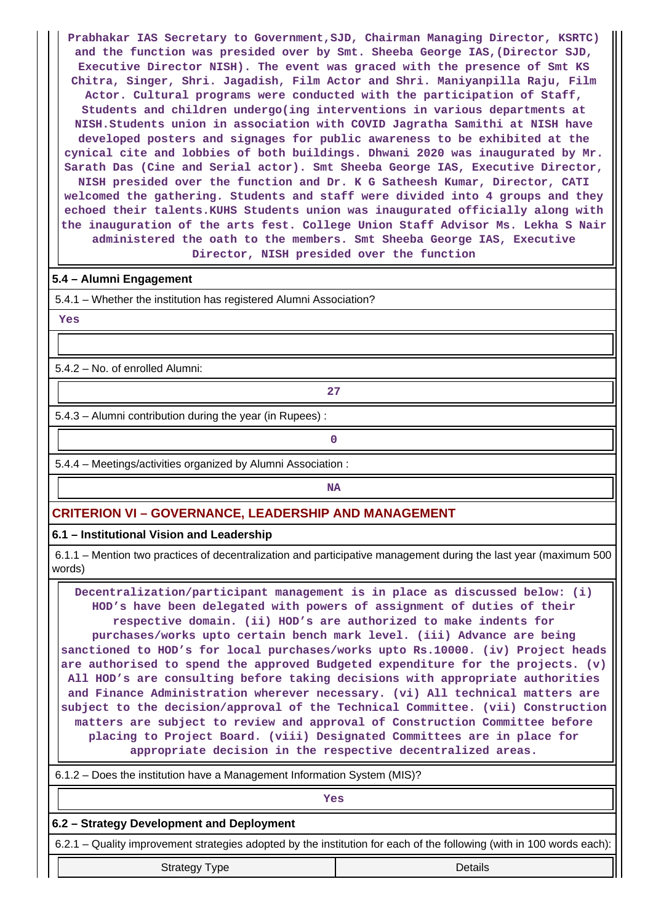**Prabhakar IAS Secretary to Government,SJD, Chairman Managing Director, KSRTC) and the function was presided over by Smt. Sheeba George IAS,(Director SJD, Executive Director NISH). The event was graced with the presence of Smt KS Chitra, Singer, Shri. Jagadish, Film Actor and Shri. Maniyanpilla Raju, Film Actor. Cultural programs were conducted with the participation of Staff, Students and children undergo(ing interventions in various departments at NISH.Students union in association with COVID Jagratha Samithi at NISH have developed posters and signages for public awareness to be exhibited at the cynical cite and lobbies of both buildings. Dhwani 2020 was inaugurated by Mr. Sarath Das (Cine and Serial actor). Smt Sheeba George IAS, Executive Director, NISH presided over the function and Dr. K G Satheesh Kumar, Director, CATI welcomed the gathering. Students and staff were divided into 4 groups and they echoed their talents.KUHS Students union was inaugurated officially along with the inauguration of the arts fest. College Union Staff Advisor Ms. Lekha S Nair administered the oath to the members. Smt Sheeba George IAS, Executive Director, NISH presided over the function**

#### **5.4 – Alumni Engagement**

5.4.1 – Whether the institution has registered Alumni Association?

 **Yes**

5.4.2 – No. of enrolled Alumni:

5.4.3 – Alumni contribution during the year (in Rupees) :

**0**

**27**

5.4.4 – Meetings/activities organized by Alumni Association :

# **NA**

## **CRITERION VI – GOVERNANCE, LEADERSHIP AND MANAGEMENT**

**6.1 – Institutional Vision and Leadership**

 6.1.1 – Mention two practices of decentralization and participative management during the last year (maximum 500 words)

 **Decentralization/participant management is in place as discussed below: (i) HOD's have been delegated with powers of assignment of duties of their respective domain. (ii) HOD's are authorized to make indents for purchases/works upto certain bench mark level. (iii) Advance are being sanctioned to HOD's for local purchases/works upto Rs.10000. (iv) Project heads are authorised to spend the approved Budgeted expenditure for the projects. (v) All HOD's are consulting before taking decisions with appropriate authorities and Finance Administration wherever necessary. (vi) All technical matters are subject to the decision/approval of the Technical Committee. (vii) Construction matters are subject to review and approval of Construction Committee before placing to Project Board. (viii) Designated Committees are in place for appropriate decision in the respective decentralized areas.**

6.1.2 – Does the institution have a Management Information System (MIS)?

| Yes                                                                                                                   |         |  |  |  |  |  |
|-----------------------------------------------------------------------------------------------------------------------|---------|--|--|--|--|--|
| 6.2 – Strategy Development and Deployment                                                                             |         |  |  |  |  |  |
| 6.2.1 – Quality improvement strategies adopted by the institution for each of the following (with in 100 words each): |         |  |  |  |  |  |
| <b>Strategy Type</b>                                                                                                  | Details |  |  |  |  |  |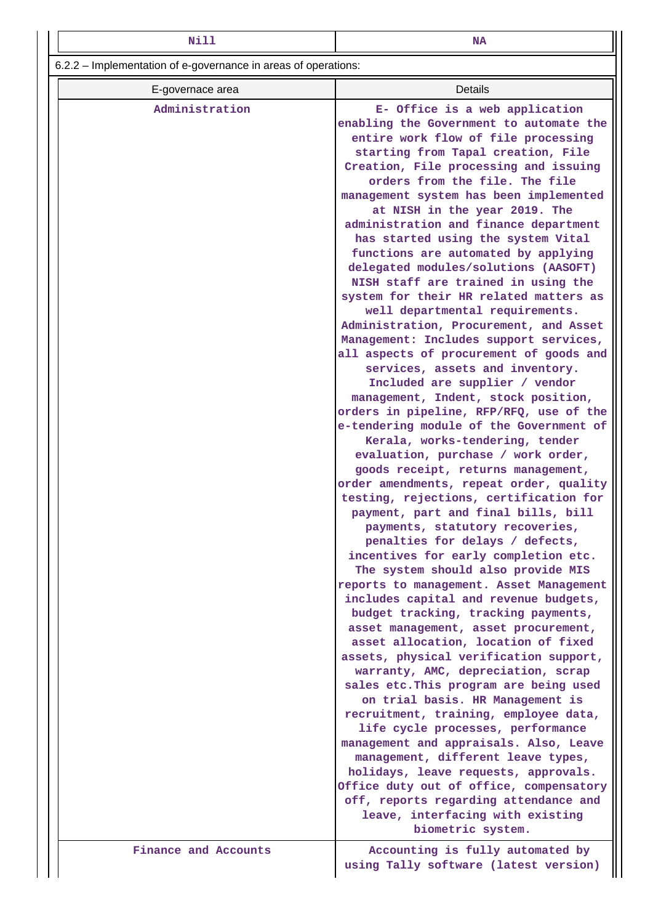| Nill                                                           | <b>NA</b>                                                                                                                                                                                                                                                                                                                                                                                                                                                                                                                                                                                                                                                                                                                                                                                                                                                                                                                                                                                                                                                                                                                                                                                                                                                                                                                                                                                                                                                                                                                                                                                                                                                                                                                                                                                                                                                                                                                                                                                                                            |  |  |  |  |  |  |
|----------------------------------------------------------------|--------------------------------------------------------------------------------------------------------------------------------------------------------------------------------------------------------------------------------------------------------------------------------------------------------------------------------------------------------------------------------------------------------------------------------------------------------------------------------------------------------------------------------------------------------------------------------------------------------------------------------------------------------------------------------------------------------------------------------------------------------------------------------------------------------------------------------------------------------------------------------------------------------------------------------------------------------------------------------------------------------------------------------------------------------------------------------------------------------------------------------------------------------------------------------------------------------------------------------------------------------------------------------------------------------------------------------------------------------------------------------------------------------------------------------------------------------------------------------------------------------------------------------------------------------------------------------------------------------------------------------------------------------------------------------------------------------------------------------------------------------------------------------------------------------------------------------------------------------------------------------------------------------------------------------------------------------------------------------------------------------------------------------------|--|--|--|--|--|--|
| 6.2.2 – Implementation of e-governance in areas of operations: |                                                                                                                                                                                                                                                                                                                                                                                                                                                                                                                                                                                                                                                                                                                                                                                                                                                                                                                                                                                                                                                                                                                                                                                                                                                                                                                                                                                                                                                                                                                                                                                                                                                                                                                                                                                                                                                                                                                                                                                                                                      |  |  |  |  |  |  |
| E-governace area                                               | <b>Details</b>                                                                                                                                                                                                                                                                                                                                                                                                                                                                                                                                                                                                                                                                                                                                                                                                                                                                                                                                                                                                                                                                                                                                                                                                                                                                                                                                                                                                                                                                                                                                                                                                                                                                                                                                                                                                                                                                                                                                                                                                                       |  |  |  |  |  |  |
| Administration                                                 | E- Office is a web application<br>enabling the Government to automate the<br>entire work flow of file processing<br>starting from Tapal creation, File<br>Creation, File processing and issuing<br>orders from the file. The file<br>management system has been implemented<br>at NISH in the year 2019. The<br>administration and finance department<br>has started using the system Vital<br>functions are automated by applying<br>delegated modules/solutions (AASOFT)<br>NISH staff are trained in using the<br>system for their HR related matters as<br>well departmental requirements.<br>Administration, Procurement, and Asset<br>Management: Includes support services,<br>all aspects of procurement of goods and<br>services, assets and inventory.<br>Included are supplier / vendor<br>management, Indent, stock position,<br>orders in pipeline, RFP/RFQ, use of the<br>e-tendering module of the Government of<br>Kerala, works-tendering, tender<br>evaluation, purchase / work order,<br>goods receipt, returns management,<br>order amendments, repeat order, quality<br>testing, rejections, certification for<br>payment, part and final bills, bill<br>payments, statutory recoveries,<br>penalties for delays / defects,<br>incentives for early completion etc.<br>The system should also provide MIS<br>reports to management. Asset Management<br>includes capital and revenue budgets,<br>budget tracking, tracking payments,<br>asset management, asset procurement,<br>asset allocation, location of fixed<br>assets, physical verification support,<br>warranty, AMC, depreciation, scrap<br>sales etc. This program are being used<br>on trial basis. HR Management is<br>recruitment, training, employee data,<br>life cycle processes, performance<br>management and appraisals. Also, Leave<br>management, different leave types,<br>holidays, leave requests, approvals.<br>Office duty out of office, compensatory<br>off, reports regarding attendance and<br>leave, interfacing with existing |  |  |  |  |  |  |
|                                                                | biometric system.                                                                                                                                                                                                                                                                                                                                                                                                                                                                                                                                                                                                                                                                                                                                                                                                                                                                                                                                                                                                                                                                                                                                                                                                                                                                                                                                                                                                                                                                                                                                                                                                                                                                                                                                                                                                                                                                                                                                                                                                                    |  |  |  |  |  |  |
| Finance and Accounts                                           | Accounting is fully automated by<br>using Tally software (latest version)                                                                                                                                                                                                                                                                                                                                                                                                                                                                                                                                                                                                                                                                                                                                                                                                                                                                                                                                                                                                                                                                                                                                                                                                                                                                                                                                                                                                                                                                                                                                                                                                                                                                                                                                                                                                                                                                                                                                                            |  |  |  |  |  |  |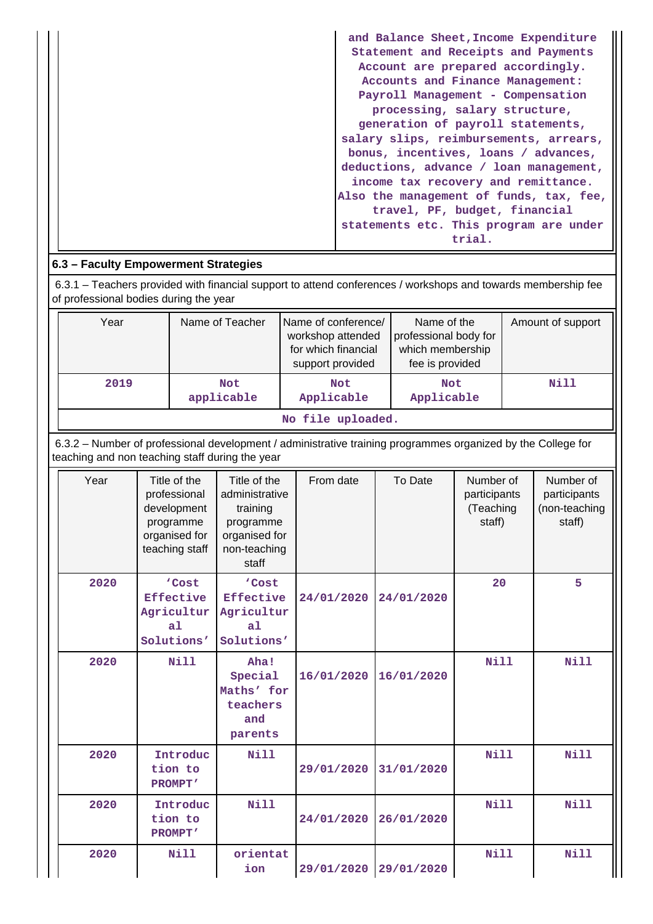| and Balance Sheet, Income Expenditure<br>Statement and Receipts and Payments |
|------------------------------------------------------------------------------|
| Account are prepared accordingly.                                            |
| Accounts and Finance Management:                                             |
| Payroll Management - Compensation                                            |
| processing, salary structure,                                                |
| generation of payroll statements,                                            |
| salary slips, reimbursements, arrears,                                       |
| bonus, incentives, loans / advances,                                         |
| deductions, advance / loan management,                                       |
| income tax recovery and remittance.                                          |
| Also the management of funds, tax, fee,                                      |
| travel, PF, budget, financial                                                |
| statements etc. This program are under                                       |
| trial.                                                                       |

# **6.3 – Faculty Empowerment Strategies**

 6.3.1 – Teachers provided with financial support to attend conferences / workshops and towards membership fee of professional bodies during the year

| Year              | Name of Teacher   | Name of conference/<br>workshop attended<br>for which financial<br>support provided | Name of the<br>professional body for<br>which membership<br>fee is provided | Amount of support |  |  |  |
|-------------------|-------------------|-------------------------------------------------------------------------------------|-----------------------------------------------------------------------------|-------------------|--|--|--|
| 2019              | Not<br>applicable | Not<br>Applicable                                                                   | <b>Not</b><br>Applicable                                                    | Nill              |  |  |  |
| No file uploaded. |                   |                                                                                     |                                                                             |                   |  |  |  |

 6.3.2 – Number of professional development / administrative training programmes organized by the College for teaching and non teaching staff during the year

| Year | Title of the<br>professional<br>development<br>programme<br>organised for<br>teaching staff | Title of the<br>administrative<br>training<br>programme<br>organised for<br>non-teaching<br>staff | From date  | To Date    | Number of<br>participants<br>(Teaching<br>staff) | Number of<br>participants<br>(non-teaching<br>staff) |
|------|---------------------------------------------------------------------------------------------|---------------------------------------------------------------------------------------------------|------------|------------|--------------------------------------------------|------------------------------------------------------|
| 2020 | 'Cost<br>Effective<br>Agricultur<br>a <sub>1</sub><br>Solutions'                            | 'Cost<br>Effective<br>Agricultur<br>a <sub>1</sub><br>Solutions'                                  | 24/01/2020 | 24/01/2020 | 20                                               | 5                                                    |
| 2020 | <b>Nill</b>                                                                                 | Aha!<br>Special<br>Maths' for<br>teachers<br>and<br>parents                                       | 16/01/2020 | 16/01/2020 | Nill                                             | <b>Nill</b>                                          |
| 2020 | Introduc<br>tion to<br><b>PROMPT'</b>                                                       | Nill                                                                                              | 29/01/2020 | 31/01/2020 | Nill                                             | Nill                                                 |
| 2020 | Introduc<br>tion to<br><b>PROMPT'</b>                                                       | <b>Nill</b>                                                                                       | 24/01/2020 | 26/01/2020 | <b>Nill</b>                                      | <b>Nill</b>                                          |
| 2020 | <b>Nill</b>                                                                                 | orientat<br>ion                                                                                   | 29/01/2020 | 29/01/2020 | Nill                                             | Nill                                                 |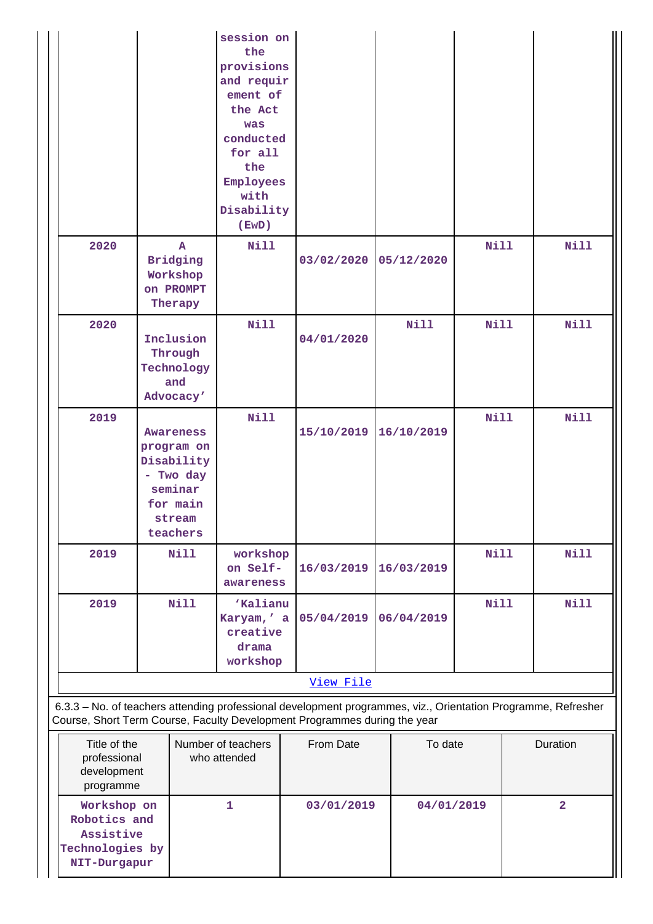|                                                                             |                                                                                                                            | session on<br>the<br>provisions<br>and requir<br>ement of<br>the Act<br>was<br>conducted<br>for all<br>the<br>Employees<br>with<br>Disability<br>( EWD ) |            |             |             |                |  |  |  |
|-----------------------------------------------------------------------------|----------------------------------------------------------------------------------------------------------------------------|----------------------------------------------------------------------------------------------------------------------------------------------------------|------------|-------------|-------------|----------------|--|--|--|
| 2020                                                                        | $\mathbf{A}$<br><b>Bridging</b><br>Workshop<br>on PROMPT<br>Therapy                                                        | <b>Nill</b>                                                                                                                                              | 03/02/2020 | 05/12/2020  | Nill        | <b>Nill</b>    |  |  |  |
| 2020                                                                        | Inclusion<br>Through<br>Technology<br>and<br>Advocacy'                                                                     | Nill                                                                                                                                                     | 04/01/2020 | <b>Nill</b> | <b>Nill</b> | Nill           |  |  |  |
| 2019                                                                        | Awareness<br>program on<br>Disability<br>- Two day<br>seminar<br>for main<br>stream<br>teachers                            | <b>Nill</b>                                                                                                                                              | 15/10/2019 | 16/10/2019  | <b>Nill</b> | <b>Nill</b>    |  |  |  |
| 2019                                                                        | <b>Nill</b>                                                                                                                | workshop<br>on Self-<br>awareness                                                                                                                        | 16/03/2019 | 16/03/2019  | <b>Nill</b> | <b>Nill</b>    |  |  |  |
| 2019                                                                        | <b>Nill</b>                                                                                                                | 'Kalianu<br>Karyam,' a<br>creative<br>drama<br>workshop                                                                                                  | 05/04/2019 | 06/04/2019  | <b>Nill</b> | <b>Nill</b>    |  |  |  |
|                                                                             | View File<br>6.3.3 - No. of teachers attending professional development programmes, viz., Orientation Programme, Refresher |                                                                                                                                                          |            |             |             |                |  |  |  |
| Course, Short Term Course, Faculty Development Programmes during the year   |                                                                                                                            |                                                                                                                                                          |            |             |             |                |  |  |  |
| Title of the<br>professional<br>development<br>programme                    |                                                                                                                            | Number of teachers<br>who attended                                                                                                                       | From Date  | To date     |             | Duration       |  |  |  |
| Workshop on<br>Robotics and<br>Assistive<br>Technologies by<br>NIT-Durgapur |                                                                                                                            | 1                                                                                                                                                        | 03/01/2019 | 04/01/2019  |             | $\overline{2}$ |  |  |  |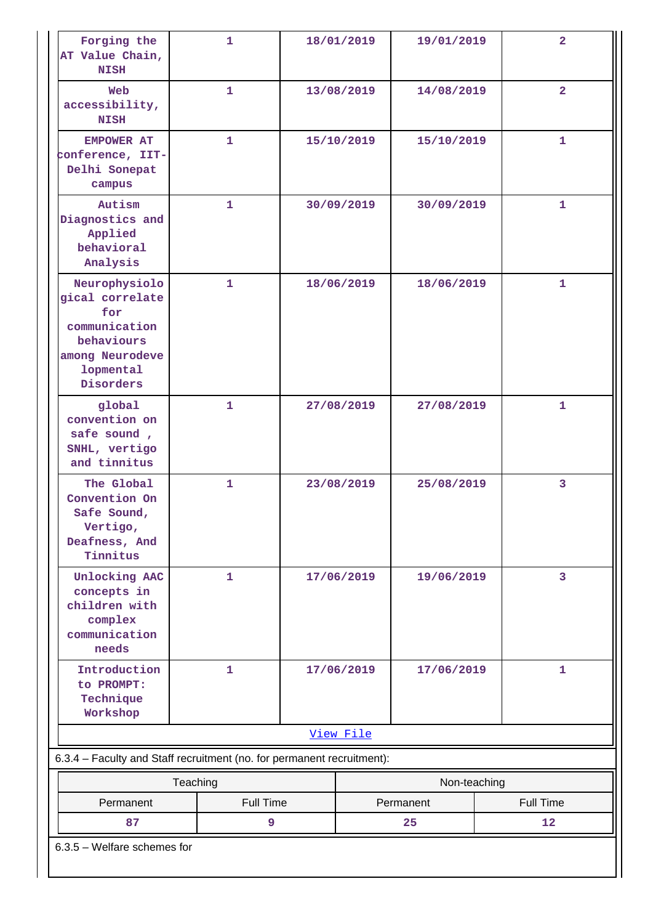| Forging the<br>AT Value Chain,<br><b>NISH</b>                                                                       | $\mathbf{1}$                                                           |  | 18/01/2019               | 19/01/2019 | $\overline{a}$   |  |  |  |
|---------------------------------------------------------------------------------------------------------------------|------------------------------------------------------------------------|--|--------------------------|------------|------------------|--|--|--|
| Web<br>accessibility,<br><b>NISH</b>                                                                                | $\mathbf{1}$                                                           |  | 13/08/2019<br>14/08/2019 |            | $\overline{2}$   |  |  |  |
| <b>EMPOWER AT</b><br>conference, IIT-<br>Delhi Sonepat<br>campus                                                    | $\mathbf{1}$                                                           |  | 15/10/2019               | 15/10/2019 | $\mathbf{1}$     |  |  |  |
| Autism<br>Diagnostics and<br>Applied<br>behavioral<br>Analysis                                                      | $\mathbf{1}$                                                           |  | 30/09/2019               | 30/09/2019 | $\mathbf{1}$     |  |  |  |
| Neurophysiolo<br>gical correlate<br>for<br>communication<br>behaviours<br>among Neurodeve<br>lopmental<br>Disorders | $\mathbf{1}$                                                           |  | 18/06/2019<br>18/06/2019 |            | $\mathbf{1}$     |  |  |  |
| global<br>convention on<br>safe sound,<br>SNHL, vertigo<br>and tinnitus                                             | $\mathbf{1}$                                                           |  | 27/08/2019               | 27/08/2019 | $\mathbf{1}$     |  |  |  |
| The Global<br>Convention On<br>Safe Sound,<br>Vertigo,<br>Deafness, And<br>Tinnitus                                 | $\mathbf{1}$                                                           |  | 23/08/2019<br>25/08/2019 |            | 3                |  |  |  |
| Unlocking AAC<br>concepts in<br>children with<br>complex<br>communication<br>needs                                  | $\mathbf{1}$                                                           |  | 17/06/2019               | 19/06/2019 | $\overline{3}$   |  |  |  |
| Introduction<br>to PROMPT:<br>Technique<br>Workshop                                                                 | $\mathbf{1}$                                                           |  | 17/06/2019<br>17/06/2019 |            | $\mathbf{1}$     |  |  |  |
| View File                                                                                                           |                                                                        |  |                          |            |                  |  |  |  |
|                                                                                                                     | 6.3.4 - Faculty and Staff recruitment (no. for permanent recruitment): |  |                          |            |                  |  |  |  |
| Teaching                                                                                                            |                                                                        |  | Non-teaching             |            |                  |  |  |  |
| Permanent                                                                                                           | <b>Full Time</b>                                                       |  |                          | Permanent  | <b>Full Time</b> |  |  |  |
| 87                                                                                                                  | 9                                                                      |  |                          | 25         | 12               |  |  |  |
| $6.3.5$ – Welfare schemes for                                                                                       |                                                                        |  |                          |            |                  |  |  |  |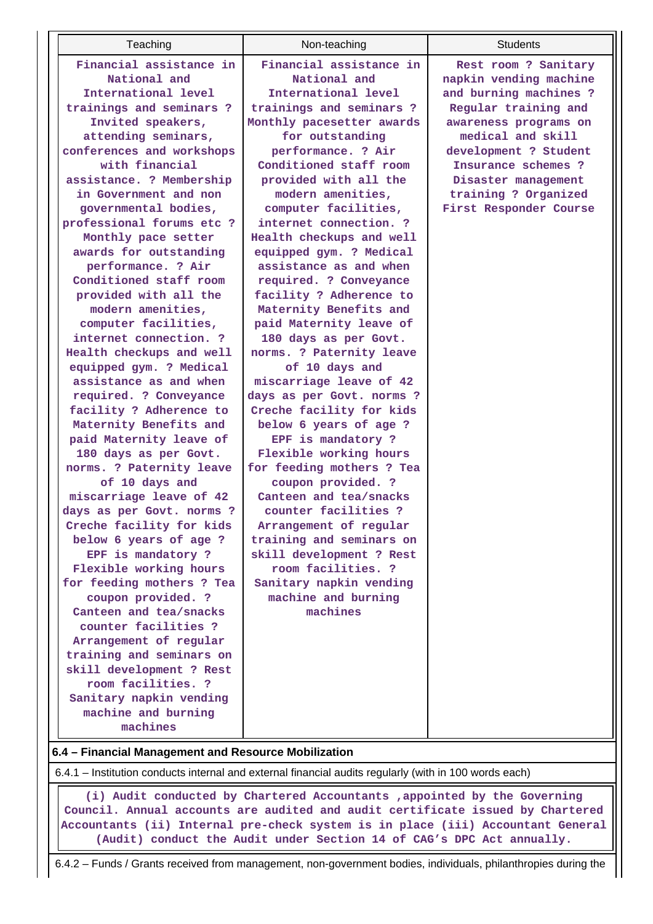6.4.1 – Institution conducts internal and external financial audits regularly (with in 100 words each)

 **(i) Audit conducted by Chartered Accountants ,appointed by the Governing Council. Annual accounts are audited and audit certificate issued by Chartered Accountants (ii) Internal pre-check system is in place (iii) Accountant General (Audit) conduct the Audit under Section 14 of CAG's DPC Act annually.**

6.4.2 – Funds / Grants received from management, non-government bodies, individuals, philanthropies during the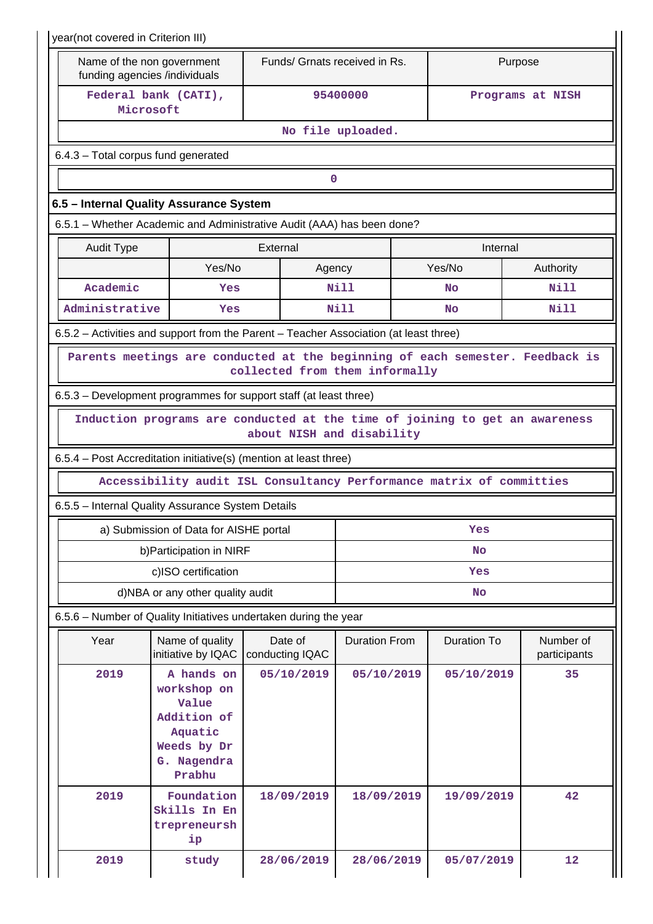| year(not covered in Criterion III)                                                                              |                                                                                                      |                            |                               |                    |                           |  |  |  |  |  |  |
|-----------------------------------------------------------------------------------------------------------------|------------------------------------------------------------------------------------------------------|----------------------------|-------------------------------|--------------------|---------------------------|--|--|--|--|--|--|
|                                                                                                                 | Name of the non government<br>funding agencies /individuals                                          |                            | Funds/ Grnats received in Rs. |                    | Purpose                   |  |  |  |  |  |  |
|                                                                                                                 | Federal bank (CATI),<br>Microsoft                                                                    |                            | 95400000                      | Programs at NISH   |                           |  |  |  |  |  |  |
| No file uploaded.                                                                                               |                                                                                                      |                            |                               |                    |                           |  |  |  |  |  |  |
| 6.4.3 - Total corpus fund generated                                                                             |                                                                                                      |                            |                               |                    |                           |  |  |  |  |  |  |
| 0                                                                                                               |                                                                                                      |                            |                               |                    |                           |  |  |  |  |  |  |
| 6.5 - Internal Quality Assurance System                                                                         |                                                                                                      |                            |                               |                    |                           |  |  |  |  |  |  |
| 6.5.1 – Whether Academic and Administrative Audit (AAA) has been done?                                          |                                                                                                      |                            |                               |                    |                           |  |  |  |  |  |  |
| <b>Audit Type</b>                                                                                               |                                                                                                      | External                   | Internal                      |                    |                           |  |  |  |  |  |  |
|                                                                                                                 | Yes/No                                                                                               | Agency                     |                               | Yes/No             | Authority                 |  |  |  |  |  |  |
| Academic                                                                                                        | Yes                                                                                                  |                            | Nill                          | No                 | Nill                      |  |  |  |  |  |  |
| Administrative                                                                                                  | Yes                                                                                                  |                            | Nill                          | <b>No</b>          | Nill                      |  |  |  |  |  |  |
| 6.5.2 - Activities and support from the Parent - Teacher Association (at least three)                           |                                                                                                      |                            |                               |                    |                           |  |  |  |  |  |  |
| Parents meetings are conducted at the beginning of each semester. Feedback is<br>collected from them informally |                                                                                                      |                            |                               |                    |                           |  |  |  |  |  |  |
|                                                                                                                 | 6.5.3 – Development programmes for support staff (at least three)                                    |                            |                               |                    |                           |  |  |  |  |  |  |
| Induction programs are conducted at the time of joining to get an awareness<br>about NISH and disability        |                                                                                                      |                            |                               |                    |                           |  |  |  |  |  |  |
| 6.5.4 - Post Accreditation initiative(s) (mention at least three)                                               |                                                                                                      |                            |                               |                    |                           |  |  |  |  |  |  |
| Accessibility audit ISL Consultancy Performance matrix of committies                                            |                                                                                                      |                            |                               |                    |                           |  |  |  |  |  |  |
|                                                                                                                 | 6.5.5 - Internal Quality Assurance System Details                                                    |                            |                               |                    |                           |  |  |  |  |  |  |
|                                                                                                                 | a) Submission of Data for AISHE portal                                                               |                            |                               | Yes                |                           |  |  |  |  |  |  |
|                                                                                                                 | b) Participation in NIRF                                                                             |                            | <b>No</b>                     |                    |                           |  |  |  |  |  |  |
|                                                                                                                 | c)ISO certification                                                                                  |                            | Yes                           |                    |                           |  |  |  |  |  |  |
| d)NBA or any other quality audit                                                                                | No                                                                                                   |                            |                               |                    |                           |  |  |  |  |  |  |
|                                                                                                                 | 6.5.6 - Number of Quality Initiatives undertaken during the year                                     |                            |                               |                    |                           |  |  |  |  |  |  |
| Year                                                                                                            | Name of quality<br>initiative by IQAC                                                                | Date of<br>conducting IQAC | <b>Duration From</b>          | <b>Duration To</b> | Number of<br>participants |  |  |  |  |  |  |
| 2019                                                                                                            | A hands on<br>workshop on<br>Value<br>Addition of<br>Aquatic<br>Weeds by Dr<br>G. Nagendra<br>Prabhu | 05/10/2019                 | 05/10/2019                    | 05/10/2019         | 35                        |  |  |  |  |  |  |
| 2019                                                                                                            | Foundation<br>Skills In En<br>trepreneursh<br>ip                                                     | 18/09/2019                 | 18/09/2019                    | 19/09/2019         | 42                        |  |  |  |  |  |  |
|                                                                                                                 |                                                                                                      |                            |                               |                    |                           |  |  |  |  |  |  |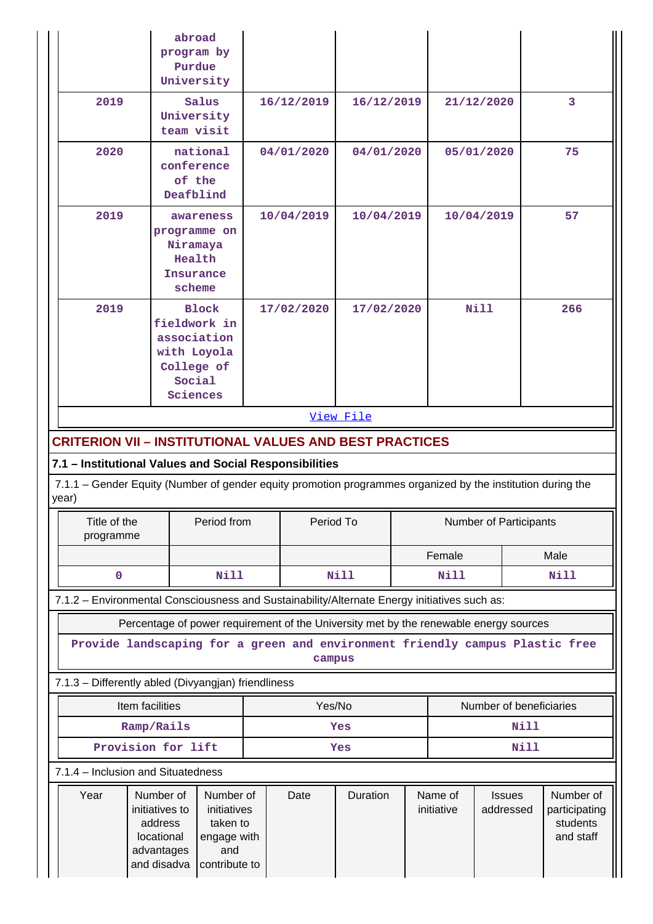|                                                                                                                                                                                |                                                      | abroad<br>program by<br>Purdue<br>University                                                   |           |            |            |                       |                            |            |                                                     |     |  |
|--------------------------------------------------------------------------------------------------------------------------------------------------------------------------------|------------------------------------------------------|------------------------------------------------------------------------------------------------|-----------|------------|------------|-----------------------|----------------------------|------------|-----------------------------------------------------|-----|--|
| 2019                                                                                                                                                                           |                                                      | Salus<br>University<br>team visit                                                              |           | 16/12/2019 |            | 16/12/2019            |                            | 21/12/2020 | 3                                                   |     |  |
| 2020                                                                                                                                                                           | national<br>conference<br>of the<br>Deafblind        |                                                                                                |           | 04/01/2020 | 04/01/2020 |                       | 05/01/2020                 |            | 75                                                  |     |  |
| 2019                                                                                                                                                                           |                                                      | awareness<br>programme on<br>Niramaya<br>Health<br>Insurance<br>scheme                         |           | 10/04/2019 | 10/04/2019 |                       | 10/04/2019                 |            |                                                     | 57  |  |
| 2019                                                                                                                                                                           |                                                      | <b>Block</b><br>fieldwork in<br>association<br>with Loyola<br>College of<br>Social<br>Sciences |           | 17/02/2020 | 17/02/2020 |                       | Nill                       |            |                                                     | 266 |  |
|                                                                                                                                                                                |                                                      |                                                                                                |           |            | View File  |                       |                            |            |                                                     |     |  |
| <b>CRITERION VII - INSTITUTIONAL VALUES AND BEST PRACTICES</b>                                                                                                                 |                                                      |                                                                                                |           |            |            |                       |                            |            |                                                     |     |  |
|                                                                                                                                                                                |                                                      |                                                                                                |           |            |            |                       |                            |            |                                                     |     |  |
| 7.1 - Institutional Values and Social Responsibilities<br>7.1.1 – Gender Equity (Number of gender equity promotion programmes organized by the institution during the<br>year) |                                                      |                                                                                                |           |            |            |                       |                            |            |                                                     |     |  |
| Title of the<br>Period from<br>programme                                                                                                                                       |                                                      |                                                                                                | Period To |            |            |                       | Number of Participants     |            |                                                     |     |  |
|                                                                                                                                                                                |                                                      |                                                                                                |           |            | Female     |                       | Male                       |            |                                                     |     |  |
| 0<br><b>Nill</b><br>Nill<br><b>Nill</b><br><b>Nill</b>                                                                                                                         |                                                      |                                                                                                |           |            |            |                       |                            |            |                                                     |     |  |
| 7.1.2 - Environmental Consciousness and Sustainability/Alternate Energy initiatives such as:                                                                                   |                                                      |                                                                                                |           |            |            |                       |                            |            |                                                     |     |  |
|                                                                                                                                                                                |                                                      | Percentage of power requirement of the University met by the renewable energy sources          |           |            |            |                       |                            |            |                                                     |     |  |
| Provide landscaping for a green and environment friendly campus Plastic free<br>campus                                                                                         |                                                      |                                                                                                |           |            |            |                       |                            |            |                                                     |     |  |
| 7.1.3 - Differently abled (Divyangjan) friendliness                                                                                                                            |                                                      |                                                                                                |           |            |            |                       |                            |            |                                                     |     |  |
|                                                                                                                                                                                | Item facilities<br>Yes/No<br>Number of beneficiaries |                                                                                                |           |            |            |                       |                            |            |                                                     |     |  |
| Ramp/Rails                                                                                                                                                                     |                                                      |                                                                                                | Yes       |            |            |                       | <b>Nill</b>                |            |                                                     |     |  |
| Provision for lift                                                                                                                                                             |                                                      |                                                                                                | Yes       |            |            | <b>Nill</b>           |                            |            |                                                     |     |  |
|                                                                                                                                                                                | 7.1.4 – Inclusion and Situatedness                   |                                                                                                |           |            |            |                       |                            |            |                                                     |     |  |
| Year<br>Number of<br>Number of<br>initiatives to<br>initiatives<br>taken to<br>address<br>locational<br>engage with<br>advantages<br>and<br>and disadva<br>contribute to       |                                                      |                                                                                                | Date      | Duration   |            | Name of<br>initiative | <b>Issues</b><br>addressed |            | Number of<br>participating<br>students<br>and staff |     |  |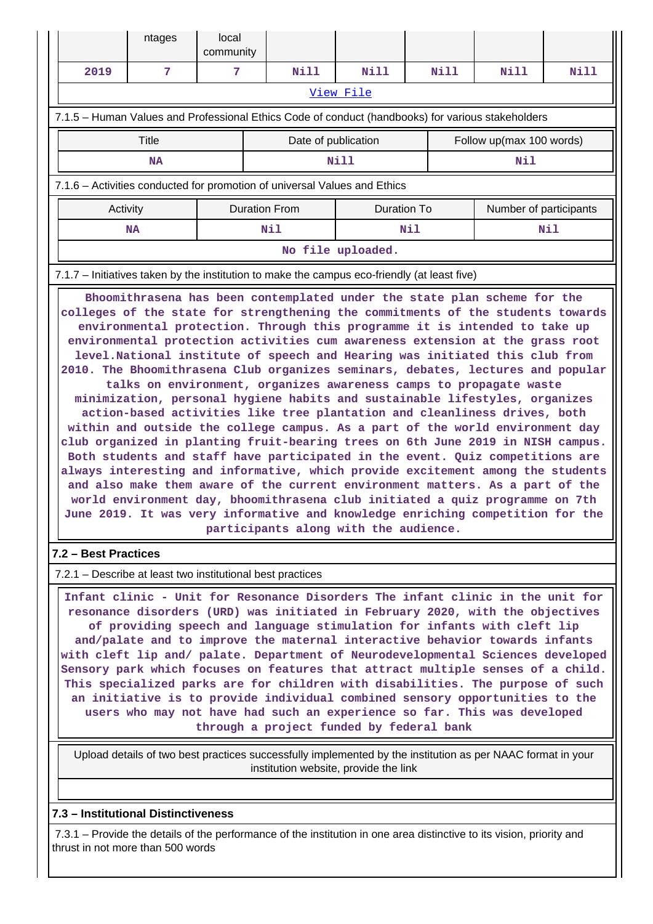|                                                                                                   |                                                                                              | ntages | local<br>community |                     |                      |      |             |                          |                        |      |  |  |
|---------------------------------------------------------------------------------------------------|----------------------------------------------------------------------------------------------|--------|--------------------|---------------------|----------------------|------|-------------|--------------------------|------------------------|------|--|--|
|                                                                                                   | 2019                                                                                         | 7      | 7                  |                     | Nill                 | Nill |             | Nill                     | Nill                   | Nill |  |  |
|                                                                                                   | View File                                                                                    |        |                    |                     |                      |      |             |                          |                        |      |  |  |
| 7.1.5 – Human Values and Professional Ethics Code of conduct (handbooks) for various stakeholders |                                                                                              |        |                    |                     |                      |      |             |                          |                        |      |  |  |
|                                                                                                   | Title                                                                                        |        |                    | Date of publication |                      |      |             | Follow up(max 100 words) |                        |      |  |  |
|                                                                                                   | <b>NA</b>                                                                                    |        |                    |                     | Nill                 |      |             |                          | Nil                    |      |  |  |
| 7.1.6 - Activities conducted for promotion of universal Values and Ethics                         |                                                                                              |        |                    |                     |                      |      |             |                          |                        |      |  |  |
|                                                                                                   | Activity                                                                                     |        |                    |                     | <b>Duration From</b> |      | Duration To |                          | Number of participants |      |  |  |
|                                                                                                   |                                                                                              | NA     | Nil                |                     |                      | Nil  |             |                          | Nil                    |      |  |  |
|                                                                                                   | No file uploaded.                                                                            |        |                    |                     |                      |      |             |                          |                        |      |  |  |
|                                                                                                   | 7.1.7 – Initiatives taken by the institution to make the campus eco-friendly (at least five) |        |                    |                     |                      |      |             |                          |                        |      |  |  |

 **Bhoomithrasena has been contemplated under the state plan scheme for the colleges of the state for strengthening the commitments of the students towards environmental protection. Through this programme it is intended to take up environmental protection activities cum awareness extension at the grass root level.National institute of speech and Hearing was initiated this club from 2010. The Bhoomithrasena Club organizes seminars, debates, lectures and popular talks on environment, organizes awareness camps to propagate waste minimization, personal hygiene habits and sustainable lifestyles, organizes action-based activities like tree plantation and cleanliness drives, both within and outside the college campus. As a part of the world environment day club organized in planting fruit-bearing trees on 6th June 2019 in NISH campus. Both students and staff have participated in the event. Quiz competitions are always interesting and informative, which provide excitement among the students and also make them aware of the current environment matters. As a part of the world environment day, bhoomithrasena club initiated a quiz programme on 7th June 2019. It was very informative and knowledge enriching competition for the participants along with the audience.**

## **7.2 – Best Practices**

7.2.1 – Describe at least two institutional best practices

 **Infant clinic - Unit for Resonance Disorders The infant clinic in the unit for resonance disorders (URD) was initiated in February 2020, with the objectives of providing speech and language stimulation for infants with cleft lip and/palate and to improve the maternal interactive behavior towards infants with cleft lip and/ palate. Department of Neurodevelopmental Sciences developed Sensory park which focuses on features that attract multiple senses of a child. This specialized parks are for children with disabilities. The purpose of such an initiative is to provide individual combined sensory opportunities to the users who may not have had such an experience so far. This was developed through a project funded by federal bank**

 Upload details of two best practices successfully implemented by the institution as per NAAC format in your institution website, provide the link

## **7.3 – Institutional Distinctiveness**

 7.3.1 – Provide the details of the performance of the institution in one area distinctive to its vision, priority and thrust in not more than 500 words